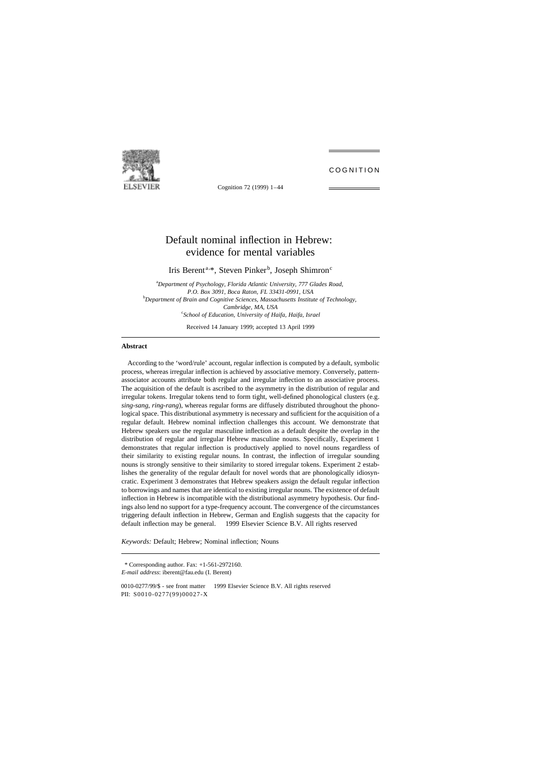Cognition 72 (1999) 1–44

COGNITION

# Default nominal inflection in Hebrew: evidence for mental variables

Iris Berent<sup>a,\*</sup>, Steven Pinker<sup>b</sup>, Joseph Shimron<sup>c</sup>

a *Department of Psychology, Florida Atlantic University, 777 Glades Road, P.O. Box 3091, Boca Raton, FL 33431-0991, USA* b *Department of Brain and Cognitive Sciences, Massachusetts Institute of Technology, Cambridge, MA, USA* c *School of Education, University of Haifa, Haifa, Israel*

Received 14 January 1999; accepted 13 April 1999

# **Abstract**

According to the 'word/rule' account, regular inflection is computed by a default, symbolic process, whereas irregular inflection is achieved by associative memory. Conversely, patternassociator accounts attribute both regular and irregular inflection to an associative process. The acquisition of the default is ascribed to the asymmetry in the distribution of regular and irregular tokens. Irregular tokens tend to form tight, well-defined phonological clusters (e.g. *sing-sang*, *ring-rang*), whereas regular forms are diffusely distributed throughout the phonological space. This distributional asymmetry is necessary and sufficient for the acquisition of a regular default. Hebrew nominal inflection challenges this account. We demonstrate that Hebrew speakers use the regular masculine inflection as a default despite the overlap in the distribution of regular and irregular Hebrew masculine nouns. Specifically, Experiment 1 demonstrates that regular inflection is productively applied to novel nouns regardless of their similarity to existing regular nouns. In contrast, the inflection of irregular sounding nouns is strongly sensitive to their similarity to stored irregular tokens. Experiment 2 establishes the generality of the regular default for novel words that are phonologically idiosyncratic. Experiment 3 demonstrates that Hebrew speakers assign the default regular inflection to borrowings and names that are identical to existing irregular nouns. The existence of default inflection in Hebrew is incompatible with the distributional asymmetry hypothesis. Our findings also lend no support for a type-frequency account. The convergence of the circumstances triggering default inflection in Hebrew, German and English suggests that the capacity for default inflection may be general. © 1999 Elsevier Science B.V. All rights reserved

*Keywords:* Default; Hebrew; Nominal inflection; Nouns

<sup>\*</sup> Corresponding author. Fax: +1-561-2972160.

*E-mail address*: iberent@fau.edu (I. Berent)

<sup>0010-0277/99/\$ -</sup> see front matter 1999 Elsevier Science B.V. All rights reserved PII: S0010-0277(99)00027-X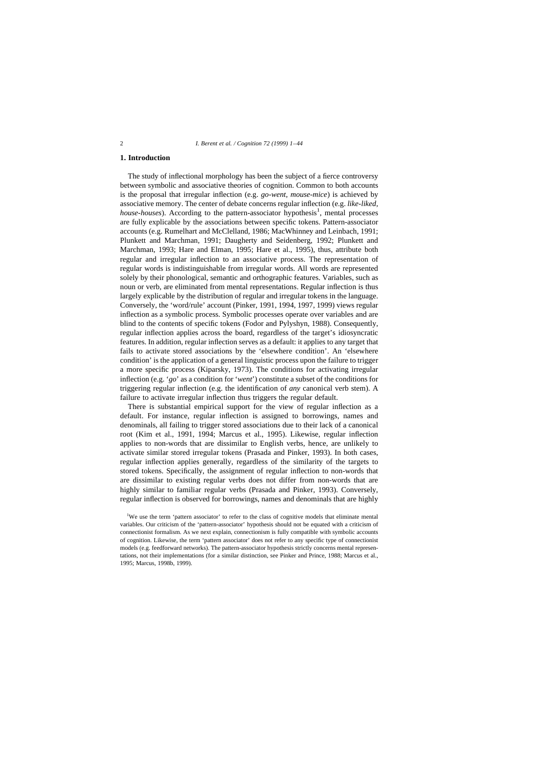#### **1. Introduction**

The study of inflectional morphology has been the subject of a fierce controversy between symbolic and associative theories of cognition. Common to both accounts is the proposal that irregular inflection (e.g. *go-went*, *mouse-mice*) is achieved by associative memory. The center of debate concerns regular inflection (e.g. *like-liked*, house-houses). According to the pattern-associator hypothesis<sup>1</sup>, mental processes are fully explicable by the associations between specific tokens. Pattern-associator accounts (e.g. Rumelhart and McClelland, 1986; MacWhinney and Leinbach, 1991; Plunkett and Marchman, 1991; Daugherty and Seidenberg, 1992; Plunkett and Marchman, 1993; Hare and Elman, 1995; Hare et al., 1995), thus, attribute both regular and irregular inflection to an associative process. The representation of regular words is indistinguishable from irregular words. All words are represented solely by their phonological, semantic and orthographic features. Variables, such as noun or verb, are eliminated from mental representations. Regular inflection is thus largely explicable by the distribution of regular and irregular tokens in the language. Conversely, the 'word/rule' account (Pinker, 1991, 1994, 1997, 1999) views regular inflection as a symbolic process. Symbolic processes operate over variables and are blind to the contents of specific tokens (Fodor and Pylyshyn, 1988). Consequently, regular inflection applies across the board, regardless of the target's idiosyncratic features. In addition, regular inflection serves as a default: it applies to any target that fails to activate stored associations by the 'elsewhere condition'. An 'elsewhere condition' is the application of a general linguistic process upon the failure to trigger a more specific process (Kiparsky, 1973). The conditions for activating irregular inflection (e.g. '*go*' as a condition for '*went*') constitute a subset of the conditions for triggering regular inflection (e.g. the identification of *any* canonical verb stem). A failure to activate irregular inflection thus triggers the regular default.

There is substantial empirical support for the view of regular inflection as a default. For instance, regular inflection is assigned to borrowings, names and denominals, all failing to trigger stored associations due to their lack of a canonical root (Kim et al., 1991, 1994; Marcus et al., 1995). Likewise, regular inflection applies to non-words that are dissimilar to English verbs, hence, are unlikely to activate similar stored irregular tokens (Prasada and Pinker, 1993). In both cases, regular inflection applies generally, regardless of the similarity of the targets to stored tokens. Specifically, the assignment of regular inflection to non-words that are dissimilar to existing regular verbs does not differ from non-words that are highly similar to familiar regular verbs (Prasada and Pinker, 1993). Conversely, regular inflection is observed for borrowings, names and denominals that are highly

<sup>&</sup>lt;sup>1</sup>We use the term 'pattern associator' to refer to the class of cognitive models that eliminate mental variables. Our criticism of the 'pattern-associator' hypothesis should not be equated with a criticism of connectionist formalism. As we next explain, connectionism is fully compatible with symbolic accounts of cognition. Likewise, the term 'pattern associator' does not refer to any specific type of connectionist models (e.g. feedforward networks). The pattern-associator hypothesis strictly concerns mental representations, not their implementations (for a similar distinction, see Pinker and Prince, 1988; Marcus et al., 1995; Marcus, 1998b, 1999).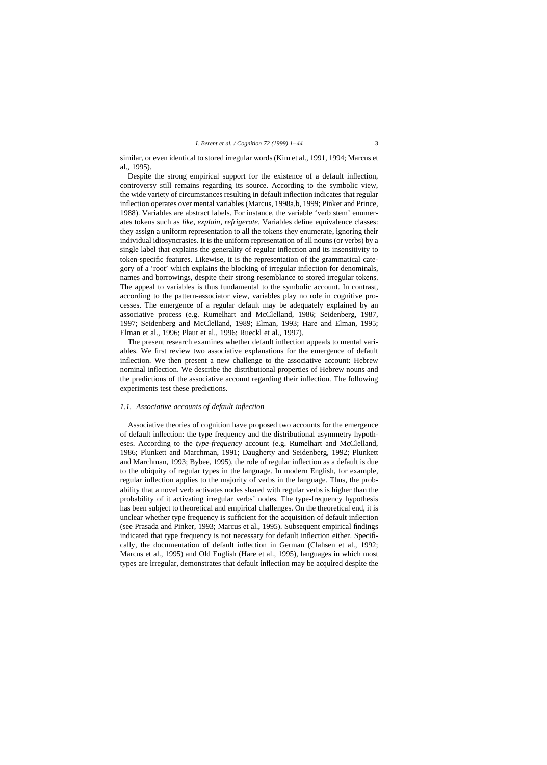similar, or even identical to stored irregular words (Kim et al., 1991, 1994; Marcus et al., 1995).

Despite the strong empirical support for the existence of a default inflection, controversy still remains regarding its source. According to the symbolic view, the wide variety of circumstances resulting in default inflection indicates that regular inflection operates over mental variables (Marcus, 1998a,b, 1999; Pinker and Prince, 1988). Variables are abstract labels. For instance, the variable 'verb stem' enumerates tokens such as *like*, *explain*, *refrigerate*. Variables define equivalence classes: they assign a uniform representation to all the tokens they enumerate, ignoring their individual idiosyncrasies. It is the uniform representation of all nouns (or verbs) by a single label that explains the generality of regular inflection and its insensitivity to token-specific features. Likewise, it is the representation of the grammatical category of a 'root' which explains the blocking of irregular inflection for denominals, names and borrowings, despite their strong resemblance to stored irregular tokens. The appeal to variables is thus fundamental to the symbolic account. In contrast, according to the pattern-associator view, variables play no role in cognitive processes. The emergence of a regular default may be adequately explained by an associative process (e.g. Rumelhart and McClelland, 1986; Seidenberg, 1987, 1997; Seidenberg and McClelland, 1989; Elman, 1993; Hare and Elman, 1995; Elman et al., 1996; Plaut et al., 1996; Rueckl et al., 1997).

The present research examines whether default inflection appeals to mental variables. We first review two associative explanations for the emergence of default inflection. We then present a new challenge to the associative account: Hebrew nominal inflection. We describe the distributional properties of Hebrew nouns and the predictions of the associative account regarding their inflection. The following experiments test these predictions.

# *1.1. Associative accounts of default inflection*

Associative theories of cognition have proposed two accounts for the emergence of default inflection: the type frequency and the distributional asymmetry hypotheses. According to the *type-frequency* account (e.g. Rumelhart and McClelland, 1986; Plunkett and Marchman, 1991; Daugherty and Seidenberg, 1992; Plunkett and Marchman, 1993; Bybee, 1995), the role of regular inflection as a default is due to the ubiquity of regular types in the language. In modern English, for example, regular inflection applies to the majority of verbs in the language. Thus, the probability that a novel verb activates nodes shared with regular verbs is higher than the probability of it activating irregular verbs' nodes. The type-frequency hypothesis has been subject to theoretical and empirical challenges. On the theoretical end, it is unclear whether type frequency is sufficient for the acquisition of default inflection (see Prasada and Pinker, 1993; Marcus et al., 1995). Subsequent empirical findings indicated that type frequency is not necessary for default inflection either. Specifically, the documentation of default inflection in German (Clahsen et al., 1992; Marcus et al., 1995) and Old English (Hare et al., 1995), languages in which most types are irregular, demonstrates that default inflection may be acquired despite the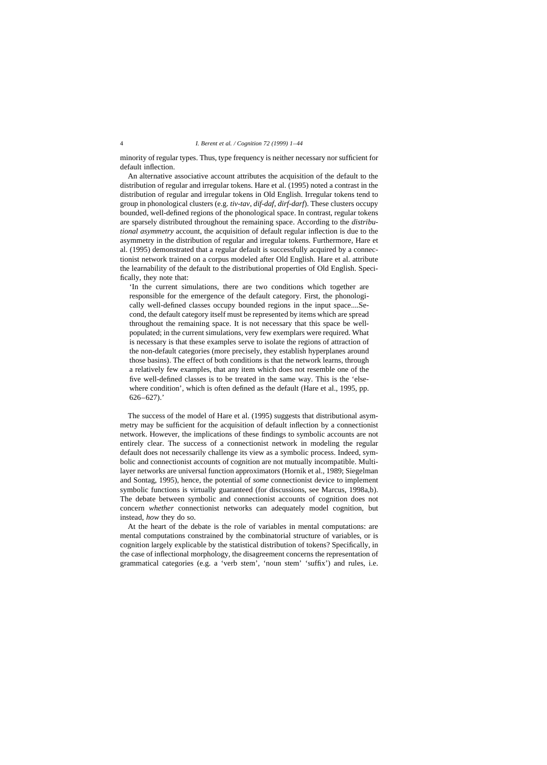minority of regular types. Thus, type frequency is neither necessary nor sufficient for default inflection.

An alternative associative account attributes the acquisition of the default to the distribution of regular and irregular tokens. Hare et al. (1995) noted a contrast in the distribution of regular and irregular tokens in Old English. Irregular tokens tend to group in phonological clusters (e.g. *tiv-tav*, *dif-daf*, *dirf-darf*). These clusters occupy bounded, well-defined regions of the phonological space. In contrast, regular tokens are sparsely distributed throughout the remaining space. According to the *distributional asymmetry* account, the acquisition of default regular inflection is due to the asymmetry in the distribution of regular and irregular tokens. Furthermore, Hare et al. (1995) demonstrated that a regular default is successfully acquired by a connectionist network trained on a corpus modeled after Old English. Hare et al. attribute the learnability of the default to the distributional properties of Old English. Specifically, they note that:

'In the current simulations, there are two conditions which together are responsible for the emergence of the default category. First, the phonologically well-defined classes occupy bounded regions in the input space....Second, the default category itself must be represented by items which are spread throughout the remaining space. It is not necessary that this space be wellpopulated; in the current simulations, very few exemplars were required. What is necessary is that these examples serve to isolate the regions of attraction of the non-default categories (more precisely, they establish hyperplanes around those basins). The effect of both conditions is that the network learns, through a relatively few examples, that any item which does not resemble one of the five well-defined classes is to be treated in the same way. This is the 'elsewhere condition', which is often defined as the default (Hare et al., 1995, pp.  $626 - 627$ .

The success of the model of Hare et al. (1995) suggests that distributional asymmetry may be sufficient for the acquisition of default inflection by a connectionist network. However, the implications of these findings to symbolic accounts are not entirely clear. The success of a connectionist network in modeling the regular default does not necessarily challenge its view as a symbolic process. Indeed, symbolic and connectionist accounts of cognition are not mutually incompatible. Multilayer networks are universal function approximators (Hornik et al., 1989; Siegelman and Sontag, 1995), hence, the potential of *some* connectionist device to implement symbolic functions is virtually guaranteed (for discussions, see Marcus, 1998a,b). The debate between symbolic and connectionist accounts of cognition does not concern *whether* connectionist networks can adequately model cognition, but instead, *how* they do so.

At the heart of the debate is the role of variables in mental computations: are mental computations constrained by the combinatorial structure of variables, or is cognition largely explicable by the statistical distribution of tokens? Specifically, in the case of inflectional morphology, the disagreement concerns the representation of grammatical categories (e.g. a 'verb stem', 'noun stem' 'suffix') and rules, i.e.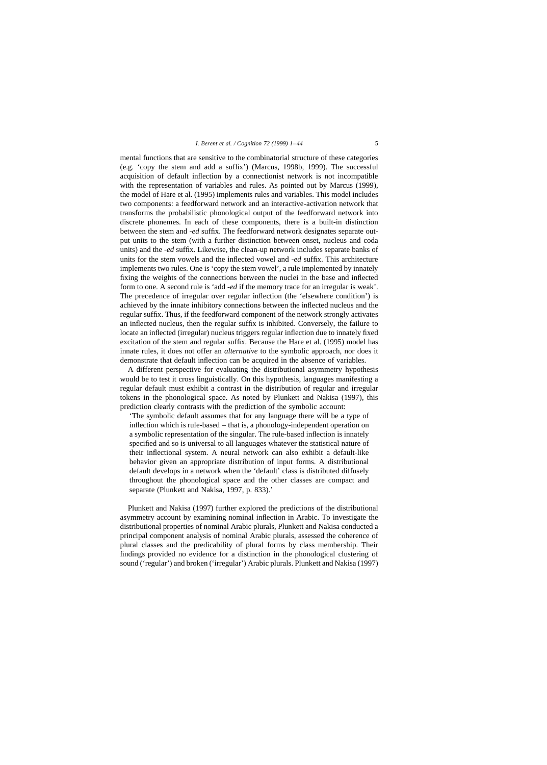mental functions that are sensitive to the combinatorial structure of these categories (e.g. 'copy the stem and add a suffix') (Marcus, 1998b, 1999). The successful acquisition of default inflection by a connectionist network is not incompatible with the representation of variables and rules. As pointed out by Marcus (1999), the model of Hare et al. (1995) implements rules and variables. This model includes two components: a feedforward network and an interactive-activation network that transforms the probabilistic phonological output of the feedforward network into discrete phonemes. In each of these components, there is a built-in distinction between the stem and *-ed* suffix. The feedforward network designates separate output units to the stem (with a further distinction between onset, nucleus and coda units) and the -*ed* suffix. Likewise, the clean-up network includes separate banks of units for the stem vowels and the inflected vowel and -*ed* suffix. This architecture implements two rules. One is 'copy the stem vowel', a rule implemented by innately fixing the weights of the connections between the nuclei in the base and inflected form to one. A second rule is 'add -*ed* if the memory trace for an irregular is weak'. The precedence of irregular over regular inflection (the 'elsewhere condition') is achieved by the innate inhibitory connections between the inflected nucleus and the regular suffix. Thus, if the feedforward component of the network strongly activates an inflected nucleus, then the regular suffix is inhibited. Conversely, the failure to locate an inflected (irregular) nucleus triggers regular inflection due to innately fixed excitation of the stem and regular suffix. Because the Hare et al. (1995) model has innate rules, it does not offer an *alternative* to the symbolic approach, nor does it demonstrate that default inflection can be acquired in the absence of variables.

A different perspective for evaluating the distributional asymmetry hypothesis would be to test it cross linguistically. On this hypothesis, languages manifesting a regular default must exhibit a contrast in the distribution of regular and irregular tokens in the phonological space. As noted by Plunkett and Nakisa (1997), this prediction clearly contrasts with the prediction of the symbolic account:

'The symbolic default assumes that for any language there will be a type of inflection which is rule-based – that is, a phonology-independent operation on a symbolic representation of the singular. The rule-based inflection is innately specified and so is universal to all languages whatever the statistical nature of their inflectional system. A neural network can also exhibit a default-like behavior given an appropriate distribution of input forms. A distributional default develops in a network when the 'default' class is distributed diffusely throughout the phonological space and the other classes are compact and separate (Plunkett and Nakisa, 1997, p. 833).'

Plunkett and Nakisa (1997) further explored the predictions of the distributional asymmetry account by examining nominal inflection in Arabic. To investigate the distributional properties of nominal Arabic plurals, Plunkett and Nakisa conducted a principal component analysis of nominal Arabic plurals, assessed the coherence of plural classes and the predicability of plural forms by class membership. Their findings provided no evidence for a distinction in the phonological clustering of sound ('regular') and broken ('irregular') Arabic plurals. Plunkett and Nakisa (1997)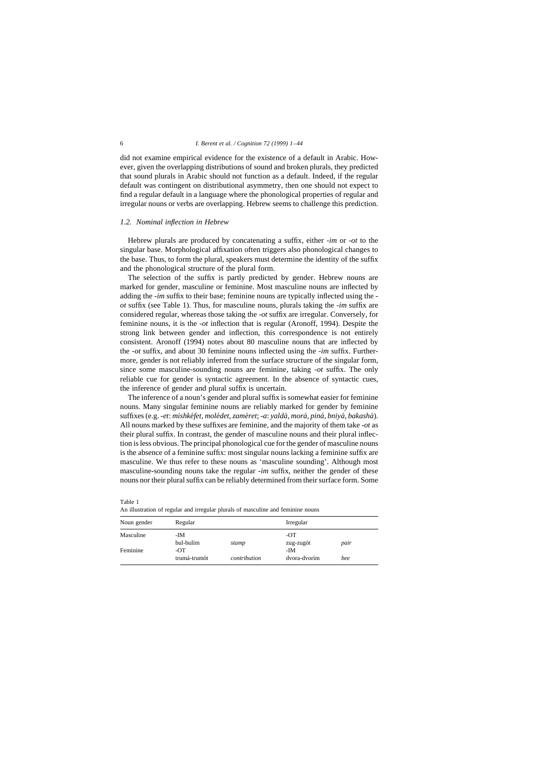did not examine empirical evidence for the existence of a default in Arabic. However, given the overlapping distributions of sound and broken plurals, they predicted that sound plurals in Arabic should not function as a default. Indeed, if the regular default was contingent on distributional asymmetry, then one should not expect to find a regular default in a language where the phonological properties of regular and irregular nouns or verbs are overlapping. Hebrew seems to challenge this prediction.

# *1.2. Nominal inflection in Hebrew*

Hebrew plurals are produced by concatenating a suffix, either -*im* or -*ot* to the singular base. Morphological affixation often triggers also phonological changes to the base. Thus, to form the plural, speakers must determine the identity of the suffix and the phonological structure of the plural form.

The selection of the suffix is partly predicted by gender. Hebrew nouns are marked for gender, masculine or feminine. Most masculine nouns are inflected by adding the -*im* suffix to their base; feminine nouns are typically inflected using the *ot* suffix (see Table 1). Thus, for masculine nouns, plurals taking the -*im* suffix are considered regular, whereas those taking the -*ot* suffix are irregular. Conversely, for feminine nouns, it is the -*ot* inflection that is regular (Aronoff, 1994). Despite the strong link between gender and inflection, this correspondence is not entirely consistent. Aronoff (1994) notes about 80 masculine nouns that are inflected by the -*ot* suffix, and about 30 feminine nouns inflected using the -*im* suffix. Furthermore, gender is not reliably inferred from the surface structure of the singular form, since some masculine-sounding nouns are feminine, taking -*ot* suffix. The only reliable cue for gender is syntactic agreement. In the absence of syntactic cues, the inference of gender and plural suffix is uncertain.

The inference of a noun's gender and plural suffix is somewhat easier for feminine nouns. Many singular feminine nouns are reliably marked for gender by feminine suffixes (e.g. -*et*: *mishke´fet, mole´det, zame´ret*; -*a*: *yalda´, mora´, pina´, bniya´, bakasha´*). All nouns marked by these suffixes are feminine, and the majority of them take -*ot* as their plural suffix. In contrast, the gender of masculine nouns and their plural inflection is less obvious. The principal phonological cue for the gender of masculine nouns is the absence of a feminine suffix: most singular nouns lacking a feminine suffix are masculine. We thus refer to these nouns as 'masculine sounding'. Although most masculine-sounding nouns take the regular -*im* suffix, neither the gender of these nouns nor their plural suffix can be reliably determined from their surface form. Some

| Noun gender | Regular             |              | Irregular           |      |
|-------------|---------------------|--------------|---------------------|------|
| Masculine   | -IM<br>bul-bulím    | stamp        | -OT<br>zug-zugót    | pair |
| Feminine    | -OT<br>trumá-trumót | contribution | -IM<br>dvora-dvorím | bee  |

Table 1

An illustration of regular and irregular plurals of masculine and feminine nouns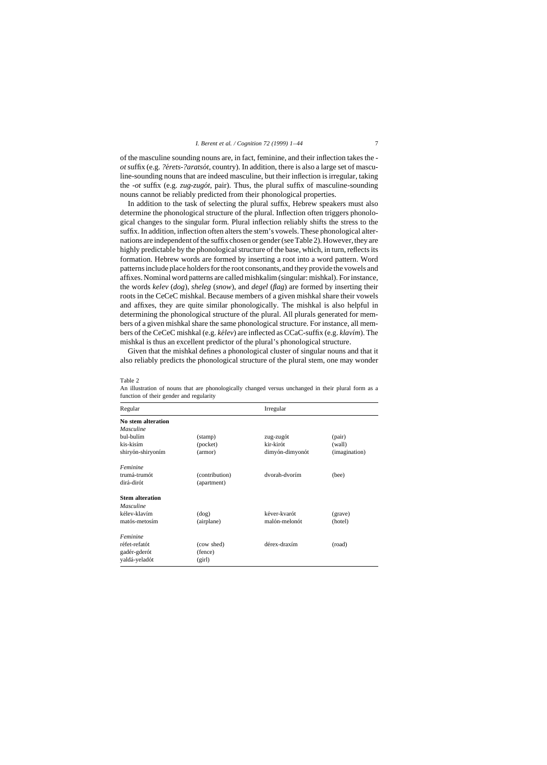of the masculine sounding nouns are, in fact, feminine, and their inflection takes the *ot* suffix (e.g. *?érets-?aratsot*, country). In addition, there is also a large set of masculine-sounding nouns that are indeed masculine, but their inflection is irregular, taking the -*ot* suffix (e.g. *zug-zugo´t*, pair). Thus, the plural suffix of masculine-sounding nouns cannot be reliably predicted from their phonological properties.

In addition to the task of selecting the plural suffix, Hebrew speakers must also determine the phonological structure of the plural. Inflection often triggers phonological changes to the singular form. Plural inflection reliably shifts the stress to the suffix. In addition, inflection often alters the stem's vowels. These phonological alternations are independent of the suffix chosen or gender (see Table 2). However, they are highly predictable by the phonological structure of the base, which, in turn, reflects its formation. Hebrew words are formed by inserting a root into a word pattern. Word patterns include place holders for the root consonants, and they provide the vowels and affixes. Nominal word patterns are called mishkalim (singular: mishkal). For instance, the words *kelev* (*dog*), *sheleg* (*snow*), and *degel* (*flag*) are formed by inserting their roots in the CeCeC mishkal. Because members of a given mishkal share their vowels and affixes, they are quite similar phonologically. The mishkal is also helpful in determining the phonological structure of the plural. All plurals generated for members of a given mishkal share the same phonological structure. For instance, all members of the CeCeC mishkal (e.g. *ke´lev*) are inflected as CCaC-suffix (e.g. *klavı´m*). The mishkal is thus an excellent predictor of the plural's phonological structure.

Given that the mishkal defines a phonological cluster of singular nouns and that it also reliably predicts the phonological structure of the plural stem, one may wonder

| Regular                |                | Irregular       |               |
|------------------------|----------------|-----------------|---------------|
| No stem alteration     |                |                 |               |
| <b>Masculine</b>       |                |                 |               |
| bul-bulím              | (stamp)        | zug-zugót       | (pair)        |
| kis-kisím              | (pocket)       | kir-kirót       | (wall)        |
| shiryón-shiryoním      | (armor)        | dimyón-dimyonót | (imagination) |
| Feminine               |                |                 |               |
| trumá-trumót           | (contribution) | dvorah-dvorím   | (bee)         |
| dirá-dirót             | (apartment)    |                 |               |
| <b>Stem alteration</b> |                |                 |               |
| <b>Masculine</b>       |                |                 |               |
| kélev-klavím           | (dog)          | kéver-kvarót    | (grave)       |
| matós-metosím          | (airplane)     | malón-melonót   | (hotel)       |
| Feminine               |                |                 |               |
| réfet-refatót          | (cow shed)     | dérex-draxím    | (road)        |
| gadér-gderót           | (fence)        |                 |               |
| yaldá-yeladót          | (girl)         |                 |               |

#### Table 2

An illustration of nouns that are phonologically changed versus unchanged in their plural form as a function of their gender and regularity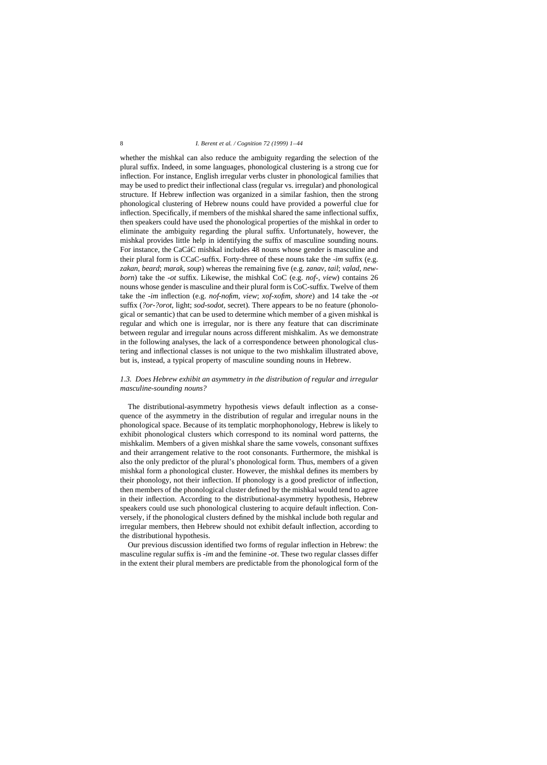whether the mishkal can also reduce the ambiguity regarding the selection of the plural suffix. Indeed, in some languages, phonological clustering is a strong cue for inflection. For instance, English irregular verbs cluster in phonological families that may be used to predict their inflectional class (regular vs. irregular) and phonological structure. If Hebrew inflection was organized in a similar fashion, then the strong phonological clustering of Hebrew nouns could have provided a powerful clue for inflection. Specifically, if members of the mishkal shared the same inflectional suffix, then speakers could have used the phonological properties of the mishkal in order to eliminate the ambiguity regarding the plural suffix. Unfortunately, however, the mishkal provides little help in identifying the suffix of masculine sounding nouns. For instance, the CaCáC mishkal includes 48 nouns whose gender is masculine and their plural form is CCaC-suffix. Forty-three of these nouns take the -*im* suffix (e.g. *zakan*, *beard*; *marak*, *soup*) whereas the remaining five (e.g. *zanav*, *tail*; *valad*, *newborn*) take the -*ot* suffix. Likewise, the mishkal CoC (e.g. *nof*-, *view*) contains 26 nouns whose gender is masculine and their plural form is CoC-suffix. Twelve of them take the -*im* inflection (e.g. *nof-nofim*, *view*; *xof-xofim*, *shore*) and 14 take the -*ot* suffix (*?or-?orot*, light; *sod-sodot*, secret). There appears to be no feature (phonological or semantic) that can be used to determine which member of a given mishkal is regular and which one is irregular, nor is there any feature that can discriminate between regular and irregular nouns across different mishkalim. As we demonstrate in the following analyses, the lack of a correspondence between phonological clustering and inflectional classes is not unique to the two mishkalim illustrated above, but is, instead, a typical property of masculine sounding nouns in Hebrew.

# *1.3. Does Hebrew exhibit an asymmetry in the distribution of regular and irregular masculine-sounding nouns?*

The distributional-asymmetry hypothesis views default inflection as a consequence of the asymmetry in the distribution of regular and irregular nouns in the phonological space. Because of its templatic morphophonology, Hebrew is likely to exhibit phonological clusters which correspond to its nominal word patterns, the mishkalim. Members of a given mishkal share the same vowels, consonant suffixes and their arrangement relative to the root consonants. Furthermore, the mishkal is also the only predictor of the plural's phonological form. Thus, members of a given mishkal form a phonological cluster. However, the mishkal defines its members by their phonology, not their inflection. If phonology is a good predictor of inflection, then members of the phonological cluster defined by the mishkal would tend to agree in their inflection. According to the distributional-asymmetry hypothesis, Hebrew speakers could use such phonological clustering to acquire default inflection. Conversely, if the phonological clusters defined by the mishkal include both regular and irregular members, then Hebrew should not exhibit default inflection, according to the distributional hypothesis.

Our previous discussion identified two forms of regular inflection in Hebrew: the masculine regular suffix is -*im* and the feminine -*ot*. These two regular classes differ in the extent their plural members are predictable from the phonological form of the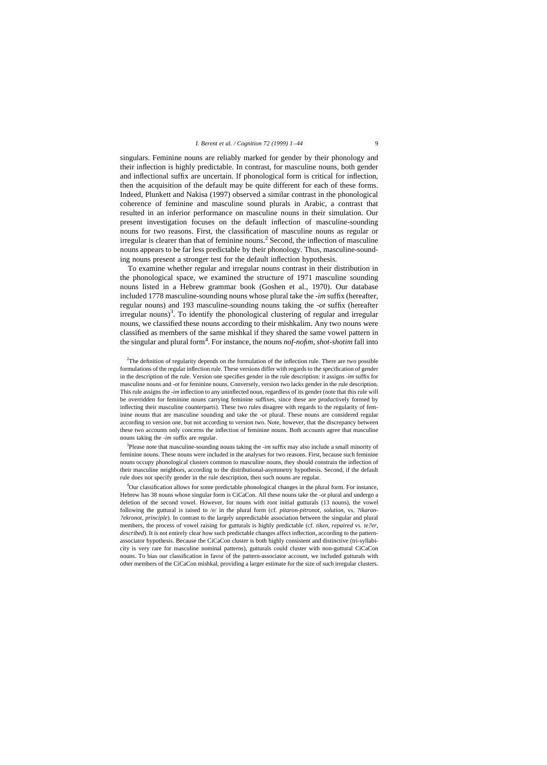singulars. Feminine nouns are reliably marked for gender by their phonology and their inflection is highly predictable. In contrast, for masculine nouns, both gender and inflectional suffix are uncertain. If phonological form is critical for inflection, then the acquisition of the default may be quite different for each of these forms. Indeed, Plunkett and Nakisa (1997) observed a similar contrast in the phonological coherence of feminine and masculine sound plurals in Arabic, a contrast that resulted in an inferior performance on masculine nouns in their simulation. Our present investigation focuses on the default inflection of masculine-sounding nouns for two reasons. First, the classification of masculine nouns as regular or irregular is clearer than that of feminine nouns.<sup>2</sup> Second, the inflection of masculine nouns appears to be far less predictable by their phonology. Thus, masculine-sounding nouns present a stronger test for the default inflection hypothesis.

To examine whether regular and irregular nouns contrast in their distribution in the phonological space, we examined the structure of 1971 masculine sounding nouns listed in a Hebrew grammar book (Goshen et al., 1970). Our database included 1778 masculine-sounding nouns whose plural take the -*im* suffix (hereafter, regular nouns) and 193 masculine-sounding nouns taking the -*ot* suffix (hereafter irregular nouns)<sup>3</sup>. To identify the phonological clustering of regular and irregular nouns, we classified these nouns according to their mishkalim. Any two nouns were classified as members of the same mishkal if they shared the same vowel pattern in the singular and plural form<sup>4</sup>. For instance, the nouns *nof-nofim*, *shot-shotim* fall into

 $2$ The definition of regularity depends on the formulation of the inflection rule. There are two possible formulations of the regular inflection rule. These versions differ with regards to the specification of gender in the description of the rule. Version one specifies gender in the rule description: it assigns *-im* suffix for masculine nouns and *-ot* for feminine nouns. Conversely, version two lacks gender in the rule description. This rule assigns the *-im* inflection to any uninflected noun, regardless of its gender (note that this rule will be overridden for feminine nouns carrying feminine suffixes, since these are productively formed by inflecting their masculine counterparts). These two rules disagree with regards to the regularity of feminine nouns that are masculine sounding and take the *-ot* plural. These nouns are considered regular according to version one, but not according to version two. Note, however, that the discrepancy between these two accounts only concerns the inflection of feminine nouns. Both accounts agree that masculine nouns taking the *-im* suffix are regular.

3 Please note that masculine-sounding nouns taking the *-im* suffix may also include a small minority of feminine nouns. These nouns were included in the analyses for two reasons. First, because such feminine nouns occupy phonological clusters common to masculine nouns, they should constrain the inflection of their masculine neighbors, according to the distributional-asymmetry hypothesis. Second, if the default rule does not specify gender in the rule description, then such nouns are regular.

<sup>4</sup>Our classification allows for some predictable phonological changes in the plural form. For instance, Hebrew has 38 nouns whose singular form is CiCaCon. All these nouns take the *-ot* plural and undergo a deletion of the second vowel. However, for nouns with root initial gutturals (13 nouns), the vowel following the guttural is raised to /e/ in the plural form (cf. *pitaron-pitronot*, *solution*, vs. ?*ikaron- ?ekronot, principle*). In contrast to the largely unpredictable association between the singular and plural members, the process of vowel raising for gutturals is highly predictable (cf. *tiken, repaired* vs. *te?er*, *described*). It is not entirely clear how such predictable changes affect inflection, according to the patternassociator hypothesis. Because the CiCaCon cluster is both highly consistent and distinctive (tri-syllabicity is very rare for masculine nominal patterns), gutturals could cluster with non-guttural CiCaCon nouns. To bias our classification in favor of the pattern-associator account, we included gutturals with other members of the CiCaCon mishkal, providing a larger estimate for the size of such irregular clusters.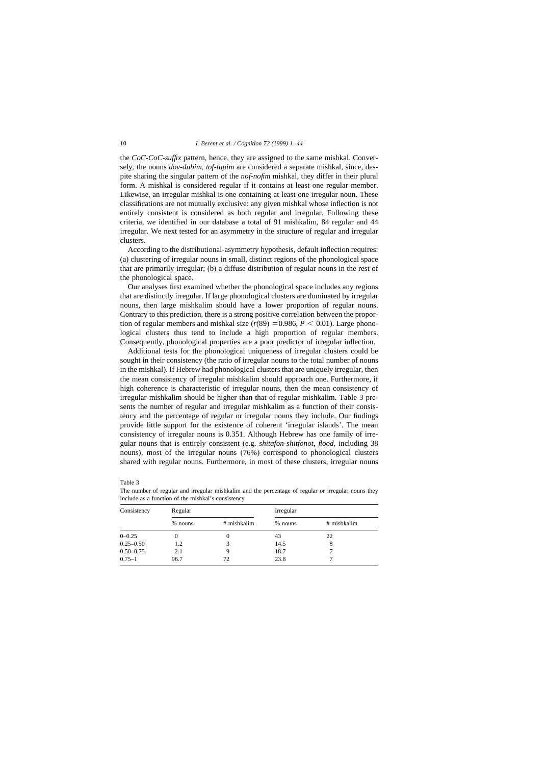the *CoC-CoC-suffix* pattern, hence, they are assigned to the same mishkal. Conversely, the nouns *dov-dubim*, *tof-tupim* are considered a separate mishkal, since, despite sharing the singular pattern of the *nof-nofim* mishkal, they differ in their plural form. A mishkal is considered regular if it contains at least one regular member. Likewise, an irregular mishkal is one containing at least one irregular noun. These classifications are not mutually exclusive: any given mishkal whose inflection is not entirely consistent is considered as both regular and irregular. Following these criteria, we identified in our database a total of 91 mishkalim, 84 regular and 44 irregular. We next tested for an asymmetry in the structure of regular and irregular clusters.

According to the distributional-asymmetry hypothesis, default inflection requires: (a) clustering of irregular nouns in small, distinct regions of the phonological space that are primarily irregular; (b) a diffuse distribution of regular nouns in the rest of the phonological space.

Our analyses first examined whether the phonological space includes any regions that are distinctly irregular. If large phonological clusters are dominated by irregular nouns, then large mishkalim should have a lower proportion of regular nouns. Contrary to this prediction, there is a strong positive correlation between the proportion of regular members and mishkal size  $(r(89) = 0.986, P \le 0.01)$ . Large phonological clusters thus tend to include a high proportion of regular members. Consequently, phonological properties are a poor predictor of irregular inflection.

Additional tests for the phonological uniqueness of irregular clusters could be sought in their consistency (the ratio of irregular nouns to the total number of nouns in the mishkal). If Hebrew had phonological clusters that are uniquely irregular, then the mean consistency of irregular mishkalim should approach one. Furthermore, if high coherence is characteristic of irregular nouns, then the mean consistency of irregular mishkalim should be higher than that of regular mishkalim. Table 3 presents the number of regular and irregular mishkalim as a function of their consistency and the percentage of regular or irregular nouns they include. Our findings provide little support for the existence of coherent 'irregular islands'. The mean consistency of irregular nouns is 0.351. Although Hebrew has one family of irregular nouns that is entirely consistent (e.g. *shitafon-shitfonot*, *flood*, including 38 nouns), most of the irregular nouns (76%) correspond to phonological clusters shared with regular nouns. Furthermore, in most of these clusters, irregular nouns

| Consistency   | Regular   |             |         | Irregular   |  |
|---------------|-----------|-------------|---------|-------------|--|
|               | $%$ nouns | # mishkalim | % nouns | # mishkalim |  |
| $0 - 0.25$    | O         |             | 43      | 22          |  |
| $0.25 - 0.50$ | 1.2       |             | 14.5    |             |  |
| $0.50 - 0.75$ | 2.1       |             | 18.7    |             |  |
| $0.75 - 1$    | 96.7      | 72          | 23.8    |             |  |

Table 3

The number of regular and irregular mishkalim and the percentage of regular or irregular nouns they include as a function of the mishkal's consistency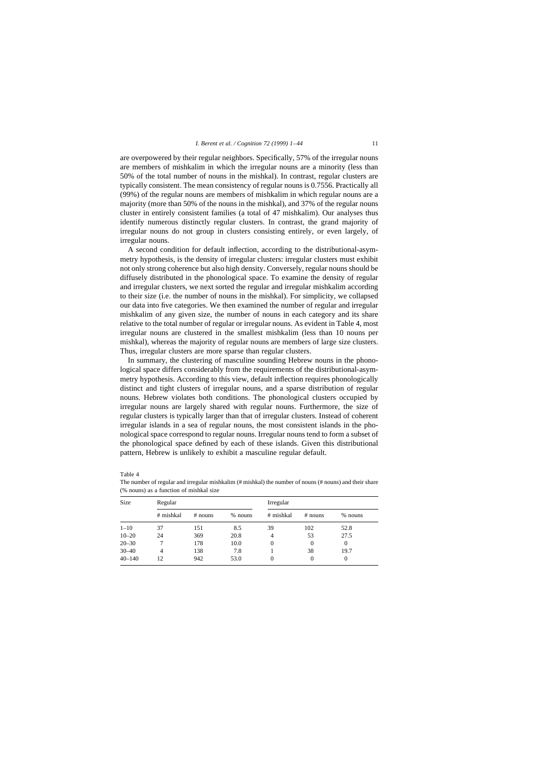are overpowered by their regular neighbors. Specifically, 57% of the irregular nouns are members of mishkalim in which the irregular nouns are a minority (less than 50% of the total number of nouns in the mishkal). In contrast, regular clusters are typically consistent. The mean consistency of regular nouns is 0.7556. Practically all (99%) of the regular nouns are members of mishkalim in which regular nouns are a majority (more than 50% of the nouns in the mishkal), and 37% of the regular nouns cluster in entirely consistent families (a total of 47 mishkalim). Our analyses thus identify numerous distinctly regular clusters. In contrast, the grand majority of irregular nouns do not group in clusters consisting entirely, or even largely, of irregular nouns.

A second condition for default inflection, according to the distributional-asymmetry hypothesis, is the density of irregular clusters: irregular clusters must exhibit not only strong coherence but also high density. Conversely, regular nouns should be diffusely distributed in the phonological space. To examine the density of regular and irregular clusters, we next sorted the regular and irregular mishkalim according to their size (i.e. the number of nouns in the mishkal). For simplicity, we collapsed our data into five categories. We then examined the number of regular and irregular mishkalim of any given size, the number of nouns in each category and its share relative to the total number of regular or irregular nouns. As evident in Table 4, most irregular nouns are clustered in the smallest mishkalim (less than 10 nouns per mishkal), whereas the majority of regular nouns are members of large size clusters. Thus, irregular clusters are more sparse than regular clusters.

In summary, the clustering of masculine sounding Hebrew nouns in the phonological space differs considerably from the requirements of the distributional-asymmetry hypothesis. According to this view, default inflection requires phonologically distinct and tight clusters of irregular nouns, and a sparse distribution of regular nouns. Hebrew violates both conditions. The phonological clusters occupied by irregular nouns are largely shared with regular nouns. Furthermore, the size of regular clusters is typically larger than that of irregular clusters. Instead of coherent irregular islands in a sea of regular nouns, the most consistent islands in the phonological space correspond to regular nouns. Irregular nouns tend to form a subset of the phonological space defined by each of these islands. Given this distributional pattern, Hebrew is unlikely to exhibit a masculine regular default.

| <b>Size</b><br>Regular<br># mishkal |    |           |         | Irregular    |           |          |
|-------------------------------------|----|-----------|---------|--------------|-----------|----------|
|                                     |    | $#$ nouns | % nouns | # mishkal    | $#$ nouns | % nouns  |
| $1 - 10$                            | 37 | 151       | 8.5     | 39           | 102       | 52.8     |
| $10 - 20$                           | 24 | 369       | 20.8    | 4            | 53        | 27.5     |
| $20 - 30$                           |    | 178       | 10.0    | $\mathbf{0}$ | $\theta$  | $\Omega$ |
| $30 - 40$                           | 4  | 138       | 7.8     |              | 38        | 19.7     |
| $40 - 140$                          | 12 | 942       | 53.0    | $\Omega$     | 0         | 0        |

Table 4

The number of regular and irregular mishkalim (# mishkal) the number of nouns (# nouns) and their share (% nouns) as a function of mishkal size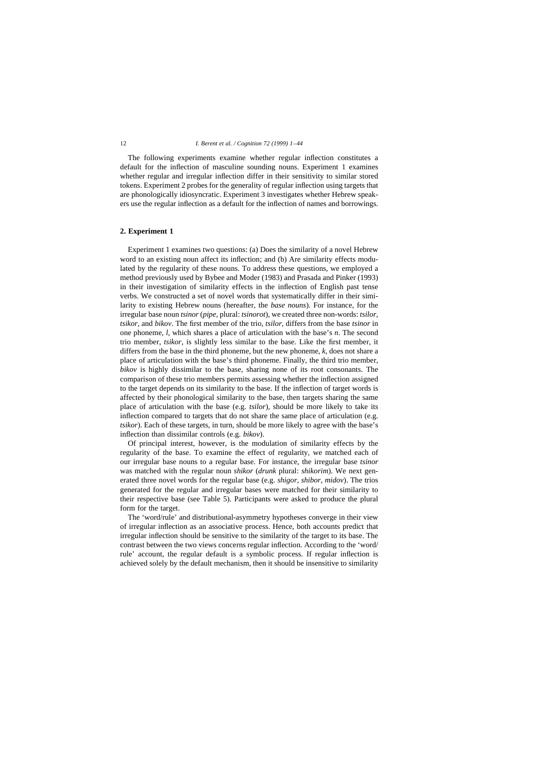The following experiments examine whether regular inflection constitutes a default for the inflection of masculine sounding nouns. Experiment 1 examines whether regular and irregular inflection differ in their sensitivity to similar stored tokens. Experiment 2 probes for the generality of regular inflection using targets that are phonologically idiosyncratic. Experiment 3 investigates whether Hebrew speakers use the regular inflection as a default for the inflection of names and borrowings.

### **2. Experiment 1**

Experiment 1 examines two questions: (a) Does the similarity of a novel Hebrew word to an existing noun affect its inflection; and (b) Are similarity effects modulated by the regularity of these nouns. To address these questions, we employed a method previously used by Bybee and Moder (1983) and Prasada and Pinker (1993) in their investigation of similarity effects in the inflection of English past tense verbs. We constructed a set of novel words that systematically differ in their similarity to existing Hebrew nouns (hereafter, the *base nouns*). For instance, for the irregular base noun *tsinor* (*pipe*, plural: *tsinorot*), we created three non-words: *tsilor*, *tsikor*, and *bikov*. The first member of the trio, *tsilor*, differs from the base *tsinor* in one phoneme, *l*, which shares a place of articulation with the base's *n*. The second trio member, *tsikor*, is slightly less similar to the base. Like the first member, it differs from the base in the third phoneme, but the new phoneme, *k*, does not share a place of articulation with the base's third phoneme. Finally, the third trio member, *bikov* is highly dissimilar to the base, sharing none of its root consonants. The comparison of these trio members permits assessing whether the inflection assigned to the target depends on its similarity to the base. If the inflection of target words is affected by their phonological similarity to the base, then targets sharing the same place of articulation with the base (e.g. *tsilor*), should be more likely to take its inflection compared to targets that do not share the same place of articulation (e.g. *tsikor*). Each of these targets, in turn, should be more likely to agree with the base's inflection than dissimilar controls (e.g. *bikov*).

Of principal interest, however, is the modulation of similarity effects by the regularity of the base. To examine the effect of regularity, we matched each of our irregular base nouns to a regular base. For instance, the irregular base *tsinor* was matched with the regular noun *shikor* (*drunk* plural: *shikorim*). We next generated three novel words for the regular base (e.g. *shigor*, *shibor*, *midov*). The trios generated for the regular and irregular bases were matched for their similarity to their respective base (see Table 5). Participants were asked to produce the plural form for the target.

The 'word/rule' and distributional-asymmetry hypotheses converge in their view of irregular inflection as an associative process. Hence, both accounts predict that irregular inflection should be sensitive to the similarity of the target to its base. The contrast between the two views concerns regular inflection. According to the 'word/ rule' account, the regular default is a symbolic process. If regular inflection is achieved solely by the default mechanism, then it should be insensitive to similarity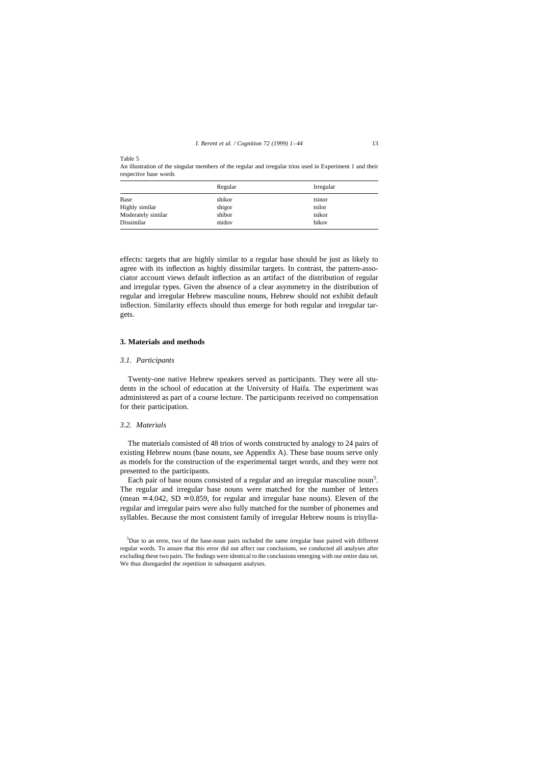|                    | Regular | Irregular |
|--------------------|---------|-----------|
| Base               | shikor  | tsinor    |
| Highly similar     | shigor  | tsilor    |
| Moderately similar | shibor  | tsikor    |
| Dissimilar         | midov   | bikov     |

An illustration of the singular members of the regular and irregular trios used in Experiment 1 and their respective base words

effects: targets that are highly similar to a regular base should be just as likely to agree with its inflection as highly dissimilar targets. In contrast, the pattern-associator account views default inflection as an artifact of the distribution of regular and irregular types. Given the absence of a clear asymmetry in the distribution of regular and irregular Hebrew masculine nouns, Hebrew should not exhibit default inflection. Similarity effects should thus emerge for both regular and irregular targets.

# **3. Materials and methods**

# *3.1. Participants*

Table 5

Twenty-one native Hebrew speakers served as participants. They were all students in the school of education at the University of Haifa. The experiment was administered as part of a course lecture. The participants received no compensation for their participation.

#### *3.2. Materials*

The materials consisted of 48 trios of words constructed by analogy to 24 pairs of existing Hebrew nouns (base nouns, see Appendix A). These base nouns serve only as models for the construction of the experimental target words, and they were not presented to the participants.

Each pair of base nouns consisted of a regular and an irregular masculine noun<sup>5</sup>. The regular and irregular base nouns were matched for the number of letters (mean  $= 4.042$ , SD  $= 0.859$ , for regular and irregular base nouns). Eleven of the regular and irregular pairs were also fully matched for the number of phonemes and syllables. Because the most consistent family of irregular Hebrew nouns is trisylla-

<sup>&</sup>lt;sup>5</sup>Due to an error, two of the base-noun pairs included the same irregular base paired with different regular words. To assure that this error did not affect our conclusions, we conducted all analyses after excluding these two pairs. The findings were identical to the conclusions emerging with our entire data set. We thus disregarded the repetition in subsequent analyses.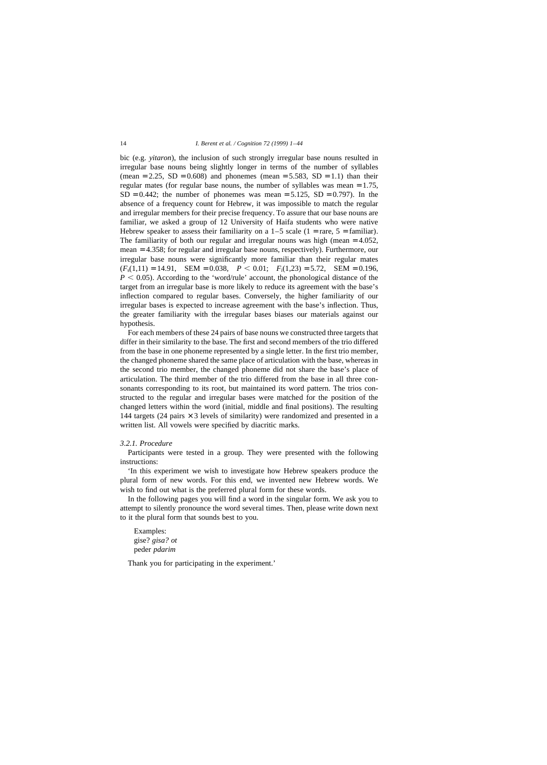bic (e.g. *yitaron*), the inclusion of such strongly irregular base nouns resulted in irregular base nouns being slightly longer in terms of the number of syllables (mean = 2.25, SD = 0.608) and phonemes (mean = 5.583, SD = 1.1) than their regular mates (for regular base nouns, the number of syllables was mean  $= 1.75$ ,  $SD = 0.442$ ; the number of phonemes was mean = 5.125,  $SD = 0.797$ ). In the absence of a frequency count for Hebrew, it was impossible to match the regular and irregular members for their precise frequency. To assure that our base nouns are familiar, we asked a group of 12 University of Haifa students who were native Hebrew speaker to assess their familiarity on a  $1-5$  scale ( $1 =$ rare,  $5 =$  familiar). The familiarity of both our regular and irregular nouns was high (mean  $= 4.052$ , mean = 4.358; for regular and irregular base nouns, respectively). Furthermore, our irregular base nouns were significantly more familiar than their regular mates  $(F<sub>s</sub>(1,11) = 14.91,$  SEM = 0.038,  $P < 0.01$ ;  $F<sub>i</sub>(1,23) = 5.72$ , SEM = 0.196,  $P < 0.05$ ). According to the 'word/rule' account, the phonological distance of the target from an irregular base is more likely to reduce its agreement with the base's inflection compared to regular bases. Conversely, the higher familiarity of our irregular bases is expected to increase agreement with the base's inflection. Thus, the greater familiarity with the irregular bases biases our materials against our hypothesis.

For each members of these 24 pairs of base nouns we constructed three targets that differ in their similarity to the base. The first and second members of the trio differed from the base in one phoneme represented by a single letter. In the first trio member, the changed phoneme shared the same place of articulation with the base, whereas in the second trio member, the changed phoneme did not share the base's place of articulation. The third member of the trio differed from the base in all three consonants corresponding to its root, but maintained its word pattern. The trios constructed to the regular and irregular bases were matched for the position of the changed letters within the word (initial, middle and final positions). The resulting 144 targets (24 pairs  $\times$  3 levels of similarity) were randomized and presented in a written list. All vowels were specified by diacritic marks.

#### *3.2.1. Procedure*

Participants were tested in a group. They were presented with the following instructions:

'In this experiment we wish to investigate how Hebrew speakers produce the plural form of new words. For this end, we invented new Hebrew words. We wish to find out what is the preferred plural form for these words.

In the following pages you will find a word in the singular form. We ask you to attempt to silently pronounce the word several times. Then, please write down next to it the plural form that sounds best to you.

Examples: gise? *gisa? ot* peder *pdarim*

Thank you for participating in the experiment.'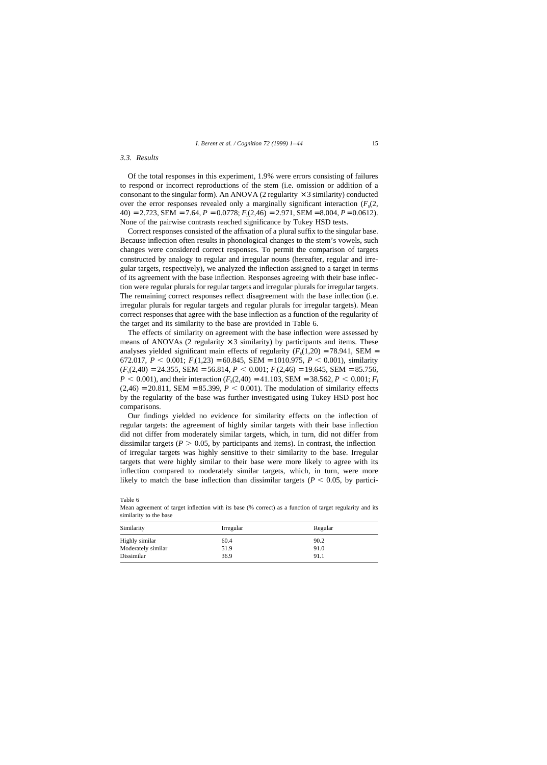#### *3.3. Results*

Of the total responses in this experiment, 1.9% were errors consisting of failures to respond or incorrect reproductions of the stem (i.e. omission or addition of a consonant to the singular form). An ANOVA (2 regularity  $\times$  3 similarity) conducted over the error responses revealed only a marginally significant interaction  $(F_s(2,$ 40) = 2.723, SEM = 7.64, *P* = 0.0778; *F*i(2,46) = 2.971, SEM = 8.004, *P* = 0.0612). None of the pairwise contrasts reached significance by Tukey HSD tests.

Correct responses consisted of the affixation of a plural suffix to the singular base. Because inflection often results in phonological changes to the stem's vowels, such changes were considered correct responses. To permit the comparison of targets constructed by analogy to regular and irregular nouns (hereafter, regular and irregular targets, respectively), we analyzed the inflection assigned to a target in terms of its agreement with the base inflection. Responses agreeing with their base inflection were regular plurals for regular targets and irregular plurals for irregular targets. The remaining correct responses reflect disagreement with the base inflection (i.e. irregular plurals for regular targets and regular plurals for irregular targets). Mean correct responses that agree with the base inflection as a function of the regularity of the target and its similarity to the base are provided in Table 6.

The effects of similarity on agreement with the base inflection were assessed by means of ANOVAs (2 regularity  $\times$  3 similarity) by participants and items. These analyses yielded significant main effects of regularity  $(F_s(1,20) = 78.941$ , SEM = 672.017,  $P < 0.001$ ;  $F<sub>i</sub>(1,23) = 60.845$ , SEM = 1010.975,  $P < 0.001$ ), similarity  $(F_s(2,40) = 24.355$ , SEM = 56.814,  $P < 0.001$ ;  $F_i(2,46) = 19.645$ , SEM = 85.756,  $P < 0.001$ ), and their interaction ( $F_s(2,40) = 41.103$ , SEM = 38.562,  $P < 0.001$ ;  $F_i$  $(2,46) = 20.811$ , SEM = 85.399,  $P < 0.001$ ). The modulation of similarity effects by the regularity of the base was further investigated using Tukey HSD post hoc comparisons.

Our findings yielded no evidence for similarity effects on the inflection of regular targets: the agreement of highly similar targets with their base inflection did not differ from moderately similar targets, which, in turn, did not differ from dissimilar targets ( $P > 0.05$ , by participants and items). In contrast, the inflection of irregular targets was highly sensitive to their similarity to the base. Irregular targets that were highly similar to their base were more likely to agree with its inflection compared to moderately similar targets, which, in turn, were more likely to match the base inflection than dissimilar targets ( $P < 0.05$ , by partici-

Table 6

Mean agreement of target inflection with its base (% correct) as a function of target regularity and its similarity to the base

| Similarity         | Irregular | Regular |
|--------------------|-----------|---------|
| Highly similar     | 60.4      | 90.2    |
| Moderately similar | 51.9      | 91.0    |
| Dissimilar         | 36.9      | 91.1    |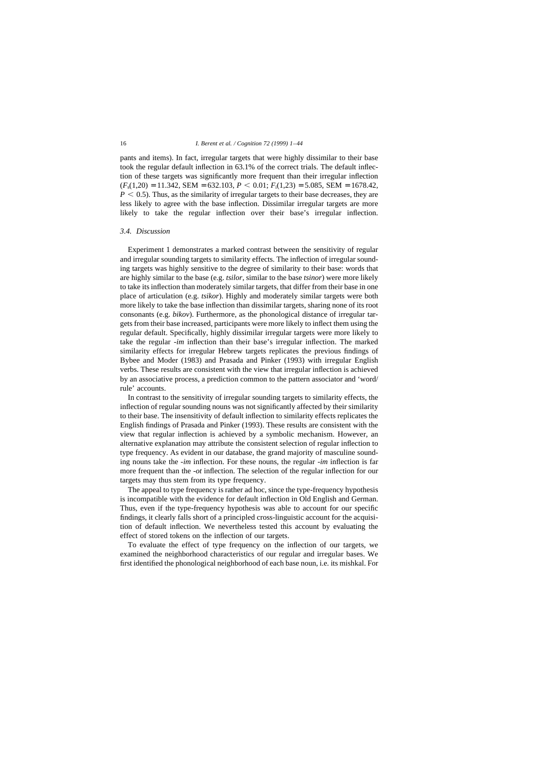pants and items). In fact, irregular targets that were highly dissimilar to their base took the regular default inflection in 63.1% of the correct trials. The default inflection of these targets was significantly more frequent than their irregular inflection  $(F<sub>s</sub>(1,20) = 11.342, SEM = 632.103, P < 0.01; F<sub>i</sub>(1,23) = 5.085, SEM = 1678.42,$  $P < 0.5$ ). Thus, as the similarity of irregular targets to their base decreases, they are less likely to agree with the base inflection. Dissimilar irregular targets are more likely to take the regular inflection over their base's irregular inflection.

# *3.4. Discussion*

Experiment 1 demonstrates a marked contrast between the sensitivity of regular and irregular sounding targets to similarity effects. The inflection of irregular sounding targets was highly sensitive to the degree of similarity to their base: words that are highly similar to the base (e.g. *tsilor*, similar to the base *tsinor*) were more likely to take its inflection than moderately similar targets, that differ from their base in one place of articulation (e.g. *tsikor*). Highly and moderately similar targets were both more likely to take the base inflection than dissimilar targets, sharing none of its root consonants (e.g. *bikov*). Furthermore, as the phonological distance of irregular targets from their base increased, participants were more likely to inflect them using the regular default. Specifically, highly dissimilar irregular targets were more likely to take the regular -*im* inflection than their base's irregular inflection. The marked similarity effects for irregular Hebrew targets replicates the previous findings of Bybee and Moder (1983) and Prasada and Pinker (1993) with irregular English verbs. These results are consistent with the view that irregular inflection is achieved by an associative process, a prediction common to the pattern associator and 'word/ rule' accounts.

In contrast to the sensitivity of irregular sounding targets to similarity effects, the inflection of regular sounding nouns was not significantly affected by their similarity to their base. The insensitivity of default inflection to similarity effects replicates the English findings of Prasada and Pinker (1993). These results are consistent with the view that regular inflection is achieved by a symbolic mechanism. However, an alternative explanation may attribute the consistent selection of regular inflection to type frequency. As evident in our database, the grand majority of masculine sounding nouns take the -*im* inflection. For these nouns, the regular -*im* inflection is far more frequent than the -*ot* inflection. The selection of the regular inflection for our targets may thus stem from its type frequency.

The appeal to type frequency is rather ad hoc, since the type-frequency hypothesis is incompatible with the evidence for default inflection in Old English and German. Thus, even if the type-frequency hypothesis was able to account for our specific findings, it clearly falls short of a principled cross-linguistic account for the acquisition of default inflection. We nevertheless tested this account by evaluating the effect of stored tokens on the inflection of our targets.

To evaluate the effect of type frequency on the inflection of our targets, we examined the neighborhood characteristics of our regular and irregular bases. We first identified the phonological neighborhood of each base noun, i.e. its mishkal. For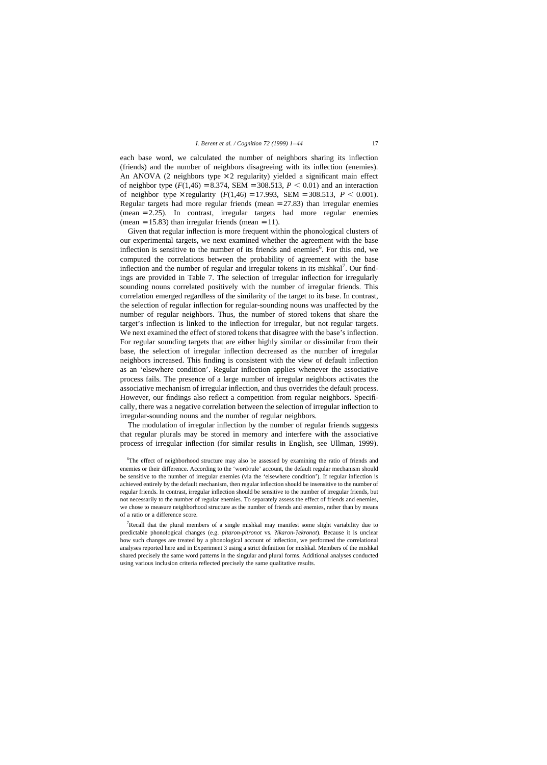each base word, we calculated the number of neighbors sharing its inflection (friends) and the number of neighbors disagreeing with its inflection (enemies). An ANOVA (2 neighbors type  $\times$  2 regularity) yielded a significant main effect of neighbor type  $(F(1,46) = 8.374, SEM = 308.513, P < 0.01)$  and an interaction of neighbor type  $\times$  regularity ( $F(1,46) = 17.993$ , SEM = 308.513,  $P < 0.001$ ). Regular targets had more regular friends (mean  $= 27.83$ ) than irregular enemies  $(mean = 2.25)$ . In contrast, irregular targets had more regular enemies (mean =  $15.83$ ) than irregular friends (mean =  $11$ ).

Given that regular inflection is more frequent within the phonological clusters of our experimental targets, we next examined whether the agreement with the base inflection is sensitive to the number of its friends and enemies<sup>6</sup>. For this end, we computed the correlations between the probability of agreement with the base inflection and the number of regular and irregular tokens in its mishkal<sup>7</sup>. Our findings are provided in Table 7. The selection of irregular inflection for irregularly sounding nouns correlated positively with the number of irregular friends. This correlation emerged regardless of the similarity of the target to its base. In contrast, the selection of regular inflection for regular-sounding nouns was unaffected by the number of regular neighbors. Thus, the number of stored tokens that share the target's inflection is linked to the inflection for irregular, but not regular targets. We next examined the effect of stored tokens that disagree with the base's inflection. For regular sounding targets that are either highly similar or dissimilar from their base, the selection of irregular inflection decreased as the number of irregular neighbors increased. This finding is consistent with the view of default inflection as an 'elsewhere condition'. Regular inflection applies whenever the associative process fails. The presence of a large number of irregular neighbors activates the associative mechanism of irregular inflection, and thus overrides the default process. However, our findings also reflect a competition from regular neighbors. Specifically, there was a negative correlation between the selection of irregular inflection to irregular-sounding nouns and the number of regular neighbors.

The modulation of irregular inflection by the number of regular friends suggests that regular plurals may be stored in memory and interfere with the associative process of irregular inflection (for similar results in English, see Ullman, 1999).

<sup>6</sup>The effect of neighborhood structure may also be assessed by examining the ratio of friends and enemies or their difference. According to the 'word/rule' account, the default regular mechanism should be sensitive to the number of irregular enemies (via the 'elsewhere condition'). If regular inflection is achieved entirely by the default mechanism, then regular inflection should be insensitive to the number of regular friends. In contrast, irregular inflection should be sensitive to the number of irregular friends, but not necessarily to the number of regular enemies. To separately assess the effect of friends and enemies, we chose to measure neighborhood structure as the number of friends and enemies, rather than by means of a ratio or a difference score.

<sup>7</sup>Recall that the plural members of a single mishkal may manifest some slight variability due to predictable phonological changes (e.g. *pitaron-pitronot* vs. ?*ikaron-?ekronot*). Because it is unclear how such changes are treated by a phonological account of inflection, we performed the correlational analyses reported here and in Experiment 3 using a strict definition for mishkal. Members of the mishkal shared precisely the same word patterns in the singular and plural forms. Additional analyses conducted using various inclusion criteria reflected precisely the same qualitative results.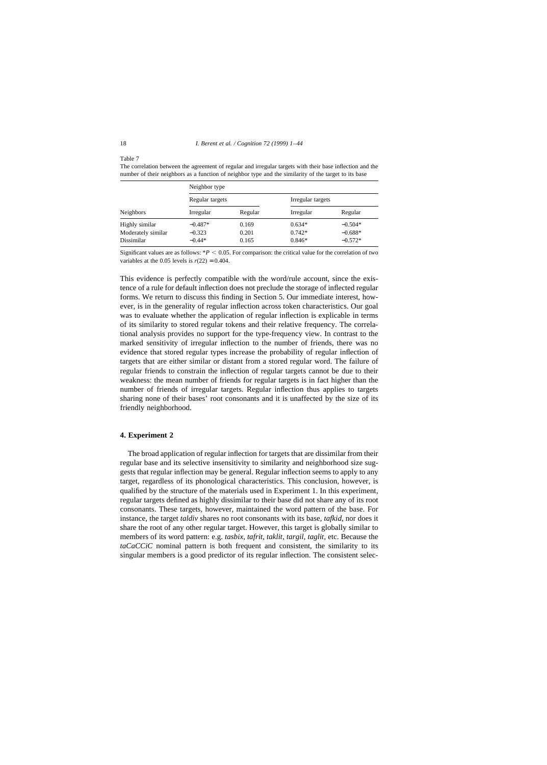| <b>Neighbors</b>   | Neighbor type   |         |                   |           |  |  |
|--------------------|-----------------|---------|-------------------|-----------|--|--|
|                    | Regular targets |         | Irregular targets |           |  |  |
|                    | Irregular       | Regular | Irregular         | Regular   |  |  |
| Highly similar     | $-0.487*$       | 0.169   | $0.634*$          | $-0.504*$ |  |  |
| Moderately similar | $-0.323$        | 0.201   | $0.742*$          | $-0.688*$ |  |  |
| Dissimilar         | $-0.44*$        | 0.165   | $0.846*$          | $-0.572*$ |  |  |

Table 7

The correlation between the agreement of regular and irregular targets with their base inflection and the number of their neighbors as a function of neighbor type and the similarity of the target to its base

Significant values are as follows:  $*P < 0.05$ . For comparison: the critical value for the correlation of two variables at the 0.05 levels is  $r(22) = 0.404$ .

This evidence is perfectly compatible with the word/rule account, since the existence of a rule for default inflection does not preclude the storage of inflected regular forms. We return to discuss this finding in Section 5. Our immediate interest, however, is in the generality of regular inflection across token characteristics. Our goal was to evaluate whether the application of regular inflection is explicable in terms of its similarity to stored regular tokens and their relative frequency. The correlational analysis provides no support for the type-frequency view. In contrast to the marked sensitivity of irregular inflection to the number of friends, there was no evidence that stored regular types increase the probability of regular inflection of targets that are either similar or distant from a stored regular word. The failure of regular friends to constrain the inflection of regular targets cannot be due to their weakness: the mean number of friends for regular targets is in fact higher than the number of friends of irregular targets. Regular inflection thus applies to targets sharing none of their bases' root consonants and it is unaffected by the size of its friendly neighborhood.

# **4. Experiment 2**

The broad application of regular inflection for targets that are dissimilar from their regular base and its selective insensitivity to similarity and neighborhood size suggests that regular inflection may be general. Regular inflection seems to apply to any target, regardless of its phonological characteristics. This conclusion, however, is qualified by the structure of the materials used in Experiment 1. In this experiment, regular targets defined as highly dissimilar to their base did not share any of its root consonants. These targets, however, maintained the word pattern of the base. For instance, the target *taldiv* shares no root consonants with its base, *tafkid*, nor does it share the root of any other regular target. However, this target is globally similar to members of its word pattern: e.g. *tasbix*, *tafrit*, *taklit*, *targil*, *taglit*, etc. Because the *taCaCCiC* nominal pattern is both frequent and consistent, the similarity to its singular members is a good predictor of its regular inflection. The consistent selec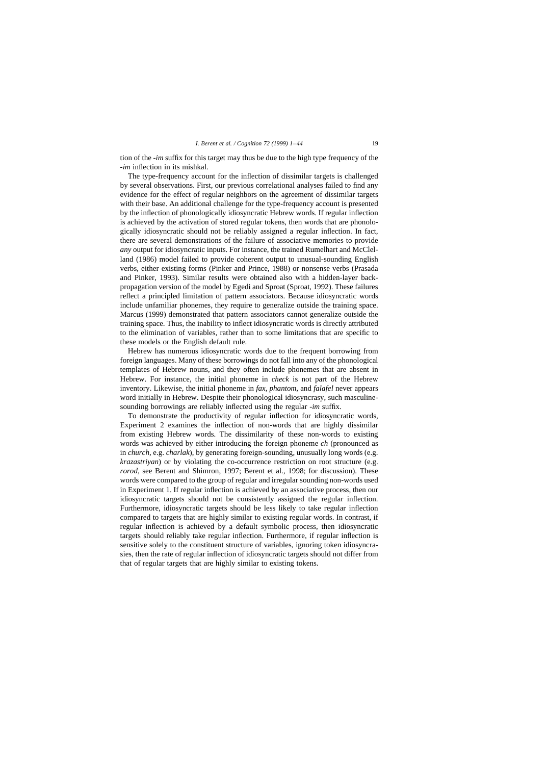tion of the -*im* suffix for this target may thus be due to the high type frequency of the -*im* inflection in its mishkal.

The type-frequency account for the inflection of dissimilar targets is challenged by several observations. First, our previous correlational analyses failed to find any evidence for the effect of regular neighbors on the agreement of dissimilar targets with their base. An additional challenge for the type-frequency account is presented by the inflection of phonologically idiosyncratic Hebrew words. If regular inflection is achieved by the activation of stored regular tokens, then words that are phonologically idiosyncratic should not be reliably assigned a regular inflection. In fact, there are several demonstrations of the failure of associative memories to provide *any* output for idiosyncratic inputs. For instance, the trained Rumelhart and McClelland (1986) model failed to provide coherent output to unusual-sounding English verbs, either existing forms (Pinker and Prince, 1988) or nonsense verbs (Prasada and Pinker, 1993). Similar results were obtained also with a hidden-layer backpropagation version of the model by Egedi and Sproat (Sproat, 1992). These failures reflect a principled limitation of pattern associators. Because idiosyncratic words include unfamiliar phonemes, they require to generalize outside the training space. Marcus (1999) demonstrated that pattern associators cannot generalize outside the training space. Thus, the inability to inflect idiosyncratic words is directly attributed to the elimination of variables, rather than to some limitations that are specific to these models or the English default rule.

Hebrew has numerous idiosyncratic words due to the frequent borrowing from foreign languages. Many of these borrowings do not fall into any of the phonological templates of Hebrew nouns, and they often include phonemes that are absent in Hebrew. For instance, the initial phoneme in *check* is not part of the Hebrew inventory. Likewise, the initial phoneme in *fax*, *phantom*, and *falafel* never appears word initially in Hebrew. Despite their phonological idiosyncrasy, such masculinesounding borrowings are reliably inflected using the regular -*im* suffix.

To demonstrate the productivity of regular inflection for idiosyncratic words, Experiment 2 examines the inflection of non-words that are highly dissimilar from existing Hebrew words. The dissimilarity of these non-words to existing words was achieved by either introducing the foreign phoneme *ch* (pronounced as in *church*, e.g. *charlak*), by generating foreign-sounding, unusually long words (e.g. *krazastriyan*) or by violating the co-occurrence restriction on root structure (e.g. *rorod*, see Berent and Shimron, 1997; Berent et al., 1998; for discussion). These words were compared to the group of regular and irregular sounding non-words used in Experiment 1. If regular inflection is achieved by an associative process, then our idiosyncratic targets should not be consistently assigned the regular inflection. Furthermore, idiosyncratic targets should be less likely to take regular inflection compared to targets that are highly similar to existing regular words. In contrast, if regular inflection is achieved by a default symbolic process, then idiosyncratic targets should reliably take regular inflection. Furthermore, if regular inflection is sensitive solely to the constituent structure of variables, ignoring token idiosyncrasies, then the rate of regular inflection of idiosyncratic targets should not differ from that of regular targets that are highly similar to existing tokens.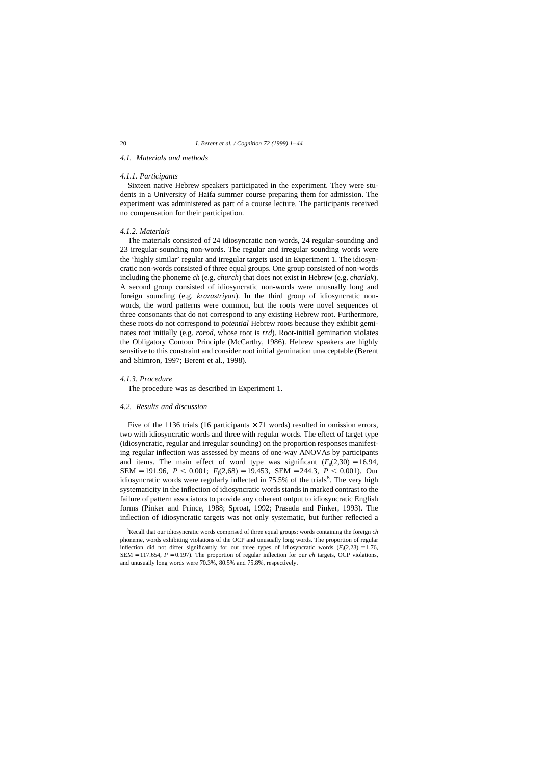#### *4.1. Materials and methods*

#### *4.1.1. Participants*

Sixteen native Hebrew speakers participated in the experiment. They were students in a University of Haifa summer course preparing them for admission. The experiment was administered as part of a course lecture. The participants received no compensation for their participation.

## *4.1.2. Materials*

The materials consisted of 24 idiosyncratic non-words, 24 regular-sounding and 23 irregular-sounding non-words. The regular and irregular sounding words were the 'highly similar' regular and irregular targets used in Experiment 1. The idiosyncratic non-words consisted of three equal groups. One group consisted of non-words including the phoneme *ch* (e.g. *church*) that does not exist in Hebrew (e.g. *charlak*). A second group consisted of idiosyncratic non-words were unusually long and foreign sounding (e.g. *krazastriyan*). In the third group of idiosyncratic nonwords, the word patterns were common, but the roots were novel sequences of three consonants that do not correspond to any existing Hebrew root. Furthermore, these roots do not correspond to *potential* Hebrew roots because they exhibit geminates root initially (e.g. *rorod*, whose root is *rrd*). Root-initial gemination violates the Obligatory Contour Principle (McCarthy, 1986). Hebrew speakers are highly sensitive to this constraint and consider root initial gemination unacceptable (Berent and Shimron, 1997; Berent et al., 1998).

#### *4.1.3. Procedure*

The procedure was as described in Experiment 1.

### *4.2. Results and discussion*

Five of the 1136 trials (16 participants  $\times$  71 words) resulted in omission errors, two with idiosyncratic words and three with regular words. The effect of target type (idiosyncratic, regular and irregular sounding) on the proportion responses manifesting regular inflection was assessed by means of one-way ANOVAs by participants and items. The main effect of word type was significant  $(F_s(2,30) = 16.94$ ,  $SEM = 191.96, P < 0.001; F<sub>i</sub>(2,68) = 19.453, SEM = 244.3, P < 0.001$ . Our idiosyncratic words were regularly inflected in  $75.5\%$  of the trials<sup>8</sup>. The very high systematicity in the inflection of idiosyncratic words stands in marked contrast to the failure of pattern associators to provide any coherent output to idiosyncratic English forms (Pinker and Prince, 1988; Sproat, 1992; Prasada and Pinker, 1993). The inflection of idiosyncratic targets was not only systematic, but further reflected a

<sup>8</sup> Recall that our idiosyncratic words comprised of three equal groups: words containing the foreign *ch* phoneme, words exhibiting violations of the OCP and unusually long words. The proportion of regular inflection did not differ significantly for our three types of idiosyncratic words  $(F<sub>i</sub>(2,23) = 1.76$ , SEM = 117.654,  $P = 0.197$ ). The proportion of regular inflection for our *ch* targets, OCP violations, and unusually long words were 70.3%, 80.5% and 75.8%, respectively.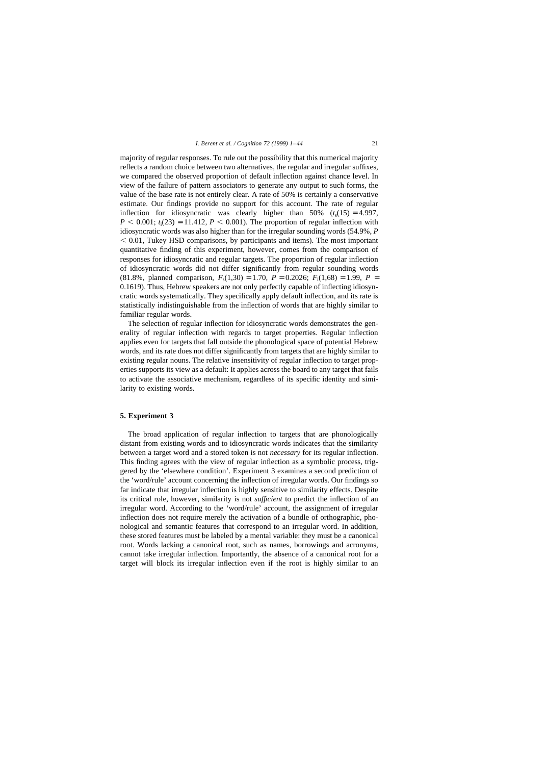majority of regular responses. To rule out the possibility that this numerical majority reflects a random choice between two alternatives, the regular and irregular suffixes, we compared the observed proportion of default inflection against chance level. In view of the failure of pattern associators to generate any output to such forms, the value of the base rate is not entirely clear. A rate of 50% is certainly a conservative estimate. Our findings provide no support for this account. The rate of regular inflection for idiosyncratic was clearly higher than  $50\%$   $(t<sub>s</sub>(15) = 4.997)$ ,  $P < 0.001$ ;  $t_i(23) = 11.412$ ,  $P < 0.001$ ). The proportion of regular inflection with idiosyncratic words was also higher than for the irregular sounding words (54.9%, *P*  $<$  0.01, Tukey HSD comparisons, by participants and items). The most important quantitative finding of this experiment, however, comes from the comparison of responses for idiosyncratic and regular targets. The proportion of regular inflection of idiosyncratic words did not differ significantly from regular sounding words (81.8%, planned comparison,  $F_s(1,30) = 1.70$ ,  $P = 0.2026$ ;  $F_i(1,68) = 1.99$ ,  $P =$ 0.1619). Thus, Hebrew speakers are not only perfectly capable of inflecting idiosyncratic words systematically. They specifically apply default inflection, and its rate is statistically indistinguishable from the inflection of words that are highly similar to familiar regular words.

The selection of regular inflection for idiosyncratic words demonstrates the generality of regular inflection with regards to target properties. Regular inflection applies even for targets that fall outside the phonological space of potential Hebrew words, and its rate does not differ significantly from targets that are highly similar to existing regular nouns. The relative insensitivity of regular inflection to target properties supports its view as a default: It applies across the board to any target that fails to activate the associative mechanism, regardless of its specific identity and similarity to existing words.

#### **5. Experiment 3**

The broad application of regular inflection to targets that are phonologically distant from existing words and to idiosyncratic words indicates that the similarity between a target word and a stored token is not *necessary* for its regular inflection. This finding agrees with the view of regular inflection as a symbolic process, triggered by the 'elsewhere condition'. Experiment 3 examines a second prediction of the 'word/rule' account concerning the inflection of irregular words. Our findings so far indicate that irregular inflection is highly sensitive to similarity effects. Despite its critical role, however, similarity is not *sufficient* to predict the inflection of an irregular word. According to the 'word/rule' account, the assignment of irregular inflection does not require merely the activation of a bundle of orthographic, phonological and semantic features that correspond to an irregular word. In addition, these stored features must be labeled by a mental variable: they must be a canonical root. Words lacking a canonical root, such as names, borrowings and acronyms, cannot take irregular inflection. Importantly, the absence of a canonical root for a target will block its irregular inflection even if the root is highly similar to an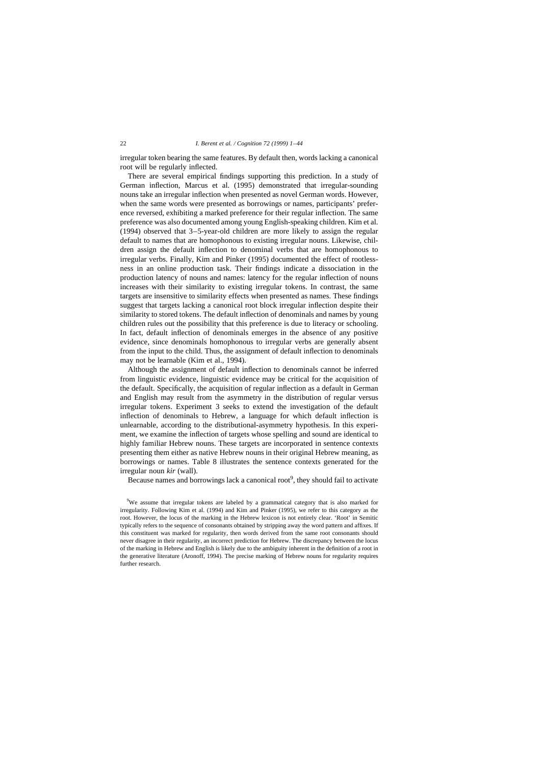irregular token bearing the same features. By default then, words lacking a canonical root will be regularly inflected.

There are several empirical findings supporting this prediction. In a study of German inflection, Marcus et al. (1995) demonstrated that irregular-sounding nouns take an irregular inflection when presented as novel German words. However, when the same words were presented as borrowings or names, participants' preference reversed, exhibiting a marked preference for their regular inflection. The same preference was also documented among young English-speaking children. Kim et al. (1994) observed that 3–5-year-old children are more likely to assign the regular default to names that are homophonous to existing irregular nouns. Likewise, children assign the default inflection to denominal verbs that are homophonous to irregular verbs. Finally, Kim and Pinker (1995) documented the effect of rootlessness in an online production task. Their findings indicate a dissociation in the production latency of nouns and names: latency for the regular inflection of nouns increases with their similarity to existing irregular tokens. In contrast, the same targets are insensitive to similarity effects when presented as names. These findings suggest that targets lacking a canonical root block irregular inflection despite their similarity to stored tokens. The default inflection of denominals and names by young children rules out the possibility that this preference is due to literacy or schooling. In fact, default inflection of denominals emerges in the absence of any positive evidence, since denominals homophonous to irregular verbs are generally absent from the input to the child. Thus, the assignment of default inflection to denominals may not be learnable (Kim et al., 1994).

Although the assignment of default inflection to denominals cannot be inferred from linguistic evidence, linguistic evidence may be critical for the acquisition of the default. Specifically, the acquisition of regular inflection as a default in German and English may result from the asymmetry in the distribution of regular versus irregular tokens. Experiment 3 seeks to extend the investigation of the default inflection of denominals to Hebrew, a language for which default inflection is unlearnable, according to the distributional-asymmetry hypothesis. In this experiment, we examine the inflection of targets whose spelling and sound are identical to highly familiar Hebrew nouns. These targets are incorporated in sentence contexts presenting them either as native Hebrew nouns in their original Hebrew meaning, as borrowings or names. Table 8 illustrates the sentence contexts generated for the irregular noun *kir* (wall).

Because names and borrowings lack a canonical root<sup>9</sup>, they should fail to activate

<sup>&</sup>lt;sup>9</sup>We assume that irregular tokens are labeled by a grammatical category that is also marked for irregularity. Following Kim et al. (1994) and Kim and Pinker (1995), we refer to this category as the root. However, the locus of the marking in the Hebrew lexicon is not entirely clear. 'Root' in Semitic typically refers to the sequence of consonants obtained by stripping away the word pattern and affixes. If this constituent was marked for regularity, then words derived from the same root consonants should never disagree in their regularity, an incorrect prediction for Hebrew. The discrepancy between the locus of the marking in Hebrew and English is likely due to the ambiguity inherent in the definition of a root in the generative literature (Aronoff, 1994). The precise marking of Hebrew nouns for regularity requires further research.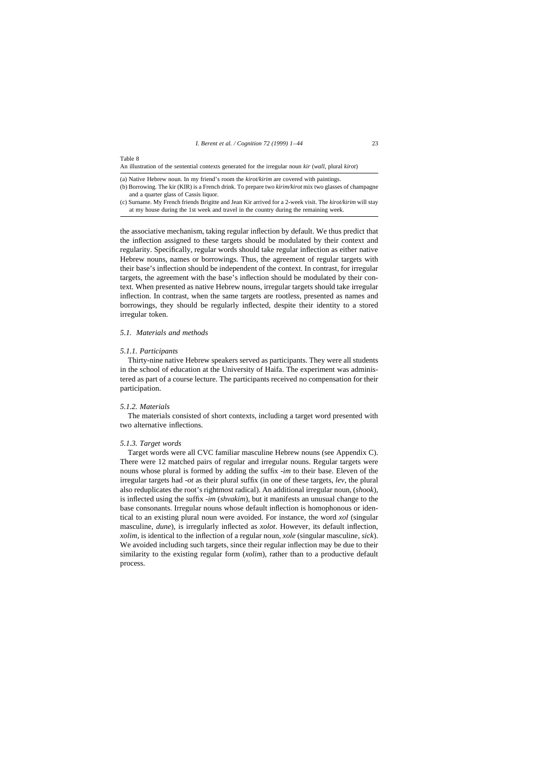#### Table 8

An illustration of the sentential contexts generated for the irregular noun *kir* (*wall*, plural *kirot*)

the associative mechanism, taking regular inflection by default. We thus predict that the inflection assigned to these targets should be modulated by their context and regularity. Specifically, regular words should take regular inflection as either native Hebrew nouns, names or borrowings. Thus, the agreement of regular targets with their base's inflection should be independent of the context. In contrast, for irregular targets, the agreement with the base's inflection should be modulated by their context. When presented as native Hebrew nouns, irregular targets should take irregular inflection. In contrast, when the same targets are rootless, presented as names and borrowings, they should be regularly inflected, despite their identity to a stored irregular token.

#### *5.1. Materials and methods*

#### *5.1.1. Participants*

Thirty-nine native Hebrew speakers served as participants. They were all students in the school of education at the University of Haifa. The experiment was administered as part of a course lecture. The participants received no compensation for their participation.

### *5.1.2. Materials*

The materials consisted of short contexts, including a target word presented with two alternative inflections.

#### *5.1.3. Target words*

Target words were all CVC familiar masculine Hebrew nouns (see Appendix C). There were 12 matched pairs of regular and irregular nouns. Regular targets were nouns whose plural is formed by adding the suffix -*im* to their base. Eleven of the irregular targets had -*ot* as their plural suffix (in one of these targets, *lev*, the plural also reduplicates the root's rightmost radical). An additional irregular noun, (*shook*), is inflected using the suffix -*im* (*shvakim*), but it manifests an unusual change to the base consonants. Irregular nouns whose default inflection is homophonous or identical to an existing plural noun were avoided. For instance, the word *xol* (singular masculine, *dune*), is irregularly inflected as *xolot*. However, its default inflection, *xolim*, is identical to the inflection of a regular noun, *xole* (singular masculine, *sick*). We avoided including such targets, since their regular inflection may be due to their similarity to the existing regular form (*xolim*), rather than to a productive default process.

<sup>(</sup>a) Native Hebrew noun. In my friend's room the *kirot/kirim* are covered with paintings.

<sup>(</sup>b) Borrowing. The kir (KIR) is a French drink. To prepare two *kirim/kirot* mix two glasses of champagne

and a quarter glass of Cassis liquor.

<sup>(</sup>c) Surname. My French friends Brigitte and Jean Kir arrived for a 2-week visit. The *kirot/kirim* will stay at my house during the 1st week and travel in the country during the remaining week.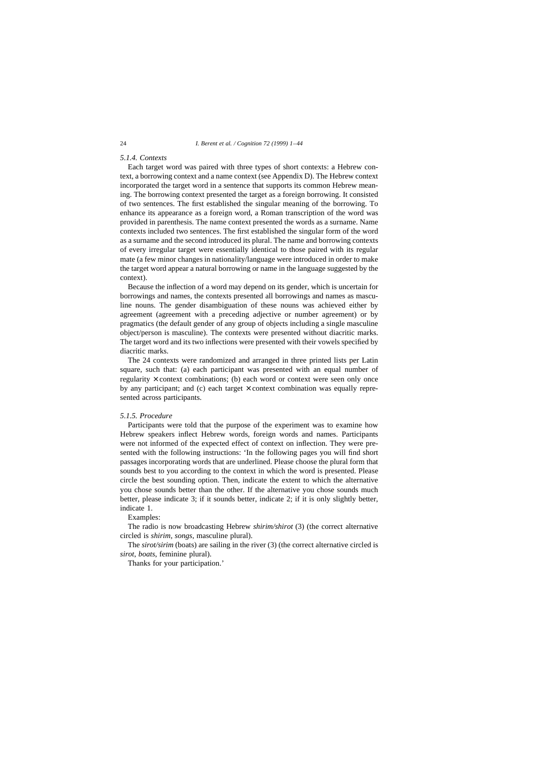# *5.1.4. Contexts*

Each target word was paired with three types of short contexts: a Hebrew context, a borrowing context and a name context (see Appendix D). The Hebrew context incorporated the target word in a sentence that supports its common Hebrew meaning. The borrowing context presented the target as a foreign borrowing. It consisted of two sentences. The first established the singular meaning of the borrowing. To enhance its appearance as a foreign word, a Roman transcription of the word was provided in parenthesis. The name context presented the words as a surname. Name contexts included two sentences. The first established the singular form of the word as a surname and the second introduced its plural. The name and borrowing contexts of every irregular target were essentially identical to those paired with its regular mate (a few minor changes in nationality/language were introduced in order to make the target word appear a natural borrowing or name in the language suggested by the context).

Because the inflection of a word may depend on its gender, which is uncertain for borrowings and names, the contexts presented all borrowings and names as masculine nouns. The gender disambiguation of these nouns was achieved either by agreement (agreement with a preceding adjective or number agreement) or by pragmatics (the default gender of any group of objects including a single masculine object/person is masculine). The contexts were presented without diacritic marks. The target word and its two inflections were presented with their vowels specified by diacritic marks.

The 24 contexts were randomized and arranged in three printed lists per Latin square, such that: (a) each participant was presented with an equal number of regularity  $\times$  context combinations; (b) each word or context were seen only once by any participant; and (c) each target  $\times$  context combination was equally represented across participants.

#### *5.1.5. Procedure*

Participants were told that the purpose of the experiment was to examine how Hebrew speakers inflect Hebrew words, foreign words and names. Participants were not informed of the expected effect of context on inflection. They were presented with the following instructions: 'In the following pages you will find short passages incorporating words that are underlined. Please choose the plural form that sounds best to you according to the context in which the word is presented. Please circle the best sounding option. Then, indicate the extent to which the alternative you chose sounds better than the other. If the alternative you chose sounds much better, please indicate 3; if it sounds better, indicate 2; if it is only slightly better, indicate 1.

Examples:

The radio is now broadcasting Hebrew *shirim/shirot* (3) (the correct alternative circled is *shirim*, *songs*, masculine plural).

The *sirot/sirim* (boats) are sailing in the river (3) (the correct alternative circled is *sirot*, *boats*, feminine plural).

Thanks for your participation.'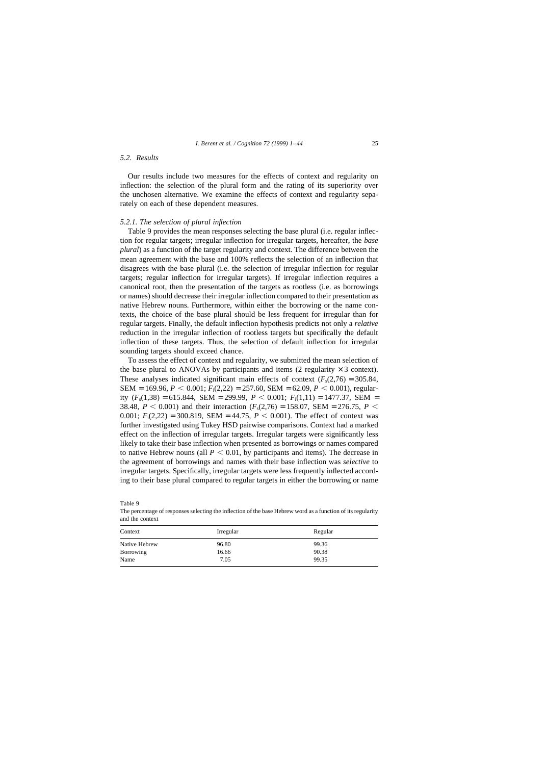# *5.2. Results*

Our results include two measures for the effects of context and regularity on inflection: the selection of the plural form and the rating of its superiority over the unchosen alternative. We examine the effects of context and regularity separately on each of these dependent measures.

#### *5.2.1. The selection of plural inflection*

Table 9 provides the mean responses selecting the base plural (i.e. regular inflection for regular targets; irregular inflection for irregular targets, hereafter, the *base plural*) as a function of the target regularity and context. The difference between the mean agreement with the base and 100% reflects the selection of an inflection that disagrees with the base plural (i.e. the selection of irregular inflection for regular targets; regular inflection for irregular targets). If irregular inflection requires a canonical root, then the presentation of the targets as rootless (i.e. as borrowings or names) should decrease their irregular inflection compared to their presentation as native Hebrew nouns. Furthermore, within either the borrowing or the name contexts, the choice of the base plural should be less frequent for irregular than for regular targets. Finally, the default inflection hypothesis predicts not only a *relative* reduction in the irregular inflection of rootless targets but specifically the default inflection of these targets. Thus, the selection of default inflection for irregular sounding targets should exceed chance.

To assess the effect of context and regularity, we submitted the mean selection of the base plural to ANOVAs by participants and items (2 regularity  $\times$  3 context). These analyses indicated significant main effects of context  $(F_s(2,76) = 305.84,$  $SEM = 169.96, P < 0.001; F_1(2,22) = 257.60, SEM = 62.09, P < 0.001$ , regularity  $(F_s(1,38) = 615.844$ , SEM = 299.99,  $P < 0.001$ ;  $F_i(1,11) = 1477.37$ , SEM = 38.48,  $P < 0.001$ ) and their interaction ( $F_s(2,76) = 158.07$ , SEM = 276.75,  $P <$ 0.001;  $F_i(2,22) = 300.819$ , SEM = 44.75,  $P < 0.001$ ). The effect of context was further investigated using Tukey HSD pairwise comparisons. Context had a marked effect on the inflection of irregular targets. Irregular targets were significantly less likely to take their base inflection when presented as borrowings or names compared to native Hebrew nouns (all  $P < 0.01$ , by participants and items). The decrease in the agreement of borrowings and names with their base inflection was *selective* to irregular targets. Specifically, irregular targets were less frequently inflected according to their base plural compared to regular targets in either the borrowing or name

Table 9

The percentage of responses selecting the inflection of the base Hebrew word as a function of its regularity and the context

| Context       | Irregular | Regular |
|---------------|-----------|---------|
| Native Hebrew | 96.80     | 99.36   |
| Borrowing     | 16.66     | 90.38   |
| Name          | 7.05      | 99.35   |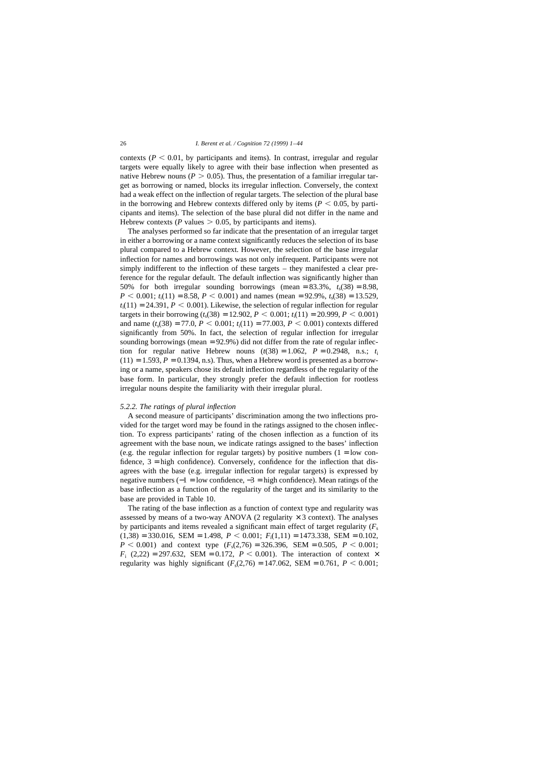contexts  $(P < 0.01$ , by participants and items). In contrast, irregular and regular targets were equally likely to agree with their base inflection when presented as native Hebrew nouns ( $P > 0.05$ ). Thus, the presentation of a familiar irregular target as borrowing or named, blocks its irregular inflection. Conversely, the context had a weak effect on the inflection of regular targets. The selection of the plural base in the borrowing and Hebrew contexts differed only by items ( $P < 0.05$ , by participants and items). The selection of the base plural did not differ in the name and Hebrew contexts ( $P$  values  $> 0.05$ , by participants and items).

The analyses performed so far indicate that the presentation of an irregular target in either a borrowing or a name context significantly reduces the selection of its base plural compared to a Hebrew context. However, the selection of the base irregular inflection for names and borrowings was not only infrequent. Participants were not simply indifferent to the inflection of these targets – they manifested a clear preference for the regular default. The default inflection was significantly higher than 50% for both irregular sounding borrowings (mean =  $83.3\%$ ,  $t_s(38) = 8.98$ ,  $P < 0.001$ ;  $t_i(11) = 8.58$ ,  $P < 0.001$ ) and names (mean = 92.9%,  $t_s(38) = 13.529$ ,  $t_i(11) = 24.391, P < 0.001$ ). Likewise, the selection of regular inflection for regular targets in their borrowing  $(t_s(38) = 12.902, P \le 0.001; t_i(11) = 20.999, P \le 0.001)$ and name  $(t_s(38) = 77.0, P < 0.001; t_i(11) = 77.003, P < 0.001)$  contexts differed significantly from 50%. In fact, the selection of regular inflection for irregular sounding borrowings (mean  $= 92.9\%$ ) did not differ from the rate of regular inflection for regular native Hebrew nouns  $(t(38) = 1.062, P = 0.2948, n.s.; t<sub>i</sub>$  $(11) = 1.593$ ,  $P = 0.1394$ , n.s.). Thus, when a Hebrew word is presented as a borrowing or a name, speakers chose its default inflection regardless of the regularity of the base form. In particular, they strongly prefer the default inflection for rootless irregular nouns despite the familiarity with their irregular plural.

# *5.2.2. The ratings of plural inflection*

A second measure of participants' discrimination among the two inflections provided for the target word may be found in the ratings assigned to the chosen inflection. To express participants' rating of the chosen inflection as a function of its agreement with the base noun, we indicate ratings assigned to the bases' inflection (e.g. the regular inflection for regular targets) by positive numbers  $(1 = low$  confidence, 3 = high confidence). Conversely, confidence for the inflection that disagrees with the base (e.g. irregular inflection for regular targets) is expressed by negative numbers  $(-1 = \text{low confidence}, -3 = \text{high confidence})$ . Mean ratings of the base inflection as a function of the regularity of the target and its similarity to the base are provided in Table 10.

The rating of the base inflection as a function of context type and regularity was assessed by means of a two-way ANOVA (2 regularity  $\times$  3 context). The analyses by participants and items revealed a significant main effect of target regularity  $(F<sub>s</sub>)$  $(1,38) = 330.016$ , SEM = 1.498,  $P < 0.001$ ;  $F<sub>i</sub>(1,11) = 1473.338$ , SEM = 0.102,  $P < 0.001$ ) and context type  $(F_s(2,76) = 326.396, \text{ SEM} = 0.505, P < 0.001;$  $F_i$  (2,22) = 297.632, SEM = 0.172,  $P < 0.001$ ). The interaction of context  $\times$ regularity was highly significant  $(F_s(2,76) = 147.062$ , SEM = 0.761,  $P < 0.001$ ;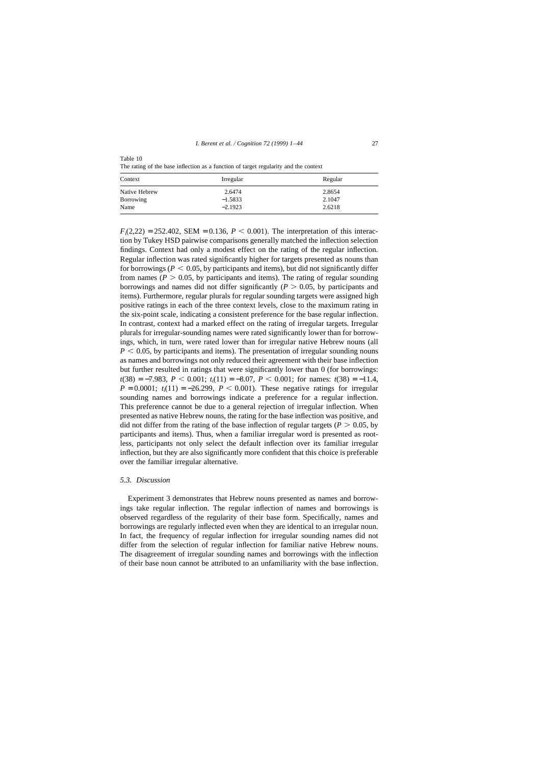| Context       | Irregular | Regular |
|---------------|-----------|---------|
| Native Hebrew | 2.6474    | 2.8654  |
| Borrowing     | $-1.5833$ | 2.1047  |
| Name          | $-2.1923$ | 2.6218  |

Table 10 The rating of the base inflection as a function of target regularity and the context

 $F_i(2,22) = 252.402$ , SEM = 0.136, *P* < 0.001). The interpretation of this interaction by Tukey HSD pairwise comparisons generally matched the inflection selection findings. Context had only a modest effect on the rating of the regular inflection. Regular inflection was rated significantly higher for targets presented as nouns than for borrowings ( $P < 0.05$ , by participants and items), but did not significantly differ from names ( $P > 0.05$ , by participants and items). The rating of regular sounding borrowings and names did not differ significantly  $(P > 0.05$ , by participants and items). Furthermore, regular plurals for regular sounding targets were assigned high positive ratings in each of the three context levels, close to the maximum rating in the six-point scale, indicating a consistent preference for the base regular inflection. In contrast, context had a marked effect on the rating of irregular targets. Irregular plurals for irregular-sounding names were rated significantly lower than for borrowings, which, in turn, were rated lower than for irregular native Hebrew nouns (all  $P < 0.05$ , by participants and items). The presentation of irregular sounding nouns as names and borrowings not only reduced their agreement with their base inflection but further resulted in ratings that were significantly lower than 0 (for borrowings:  $t(38) = -7.983$ ,  $P < 0.001$ ;  $t<sub>i</sub>(11) = -8.07$ ,  $P < 0.001$ ; for names:  $t(38) = -11.4$ , *P* = 0.0001;  $t_i(11) = -26.299$ , *P* < 0.001). These negative ratings for irregular sounding names and borrowings indicate a preference for a regular inflection. This preference cannot be due to a general rejection of irregular inflection. When presented as native Hebrew nouns, the rating for the base inflection was positive, and did not differ from the rating of the base inflection of regular targets ( $P > 0.05$ , by participants and items). Thus, when a familiar irregular word is presented as rootless, participants not only select the default inflection over its familiar irregular inflection, but they are also significantly more confident that this choice is preferable over the familiar irregular alternative.

# *5.3. Discussion*

Experiment 3 demonstrates that Hebrew nouns presented as names and borrowings take regular inflection. The regular inflection of names and borrowings is observed regardless of the regularity of their base form. Specifically, names and borrowings are regularly inflected even when they are identical to an irregular noun. In fact, the frequency of regular inflection for irregular sounding names did not differ from the selection of regular inflection for familiar native Hebrew nouns. The disagreement of irregular sounding names and borrowings with the inflection of their base noun cannot be attributed to an unfamiliarity with the base inflection.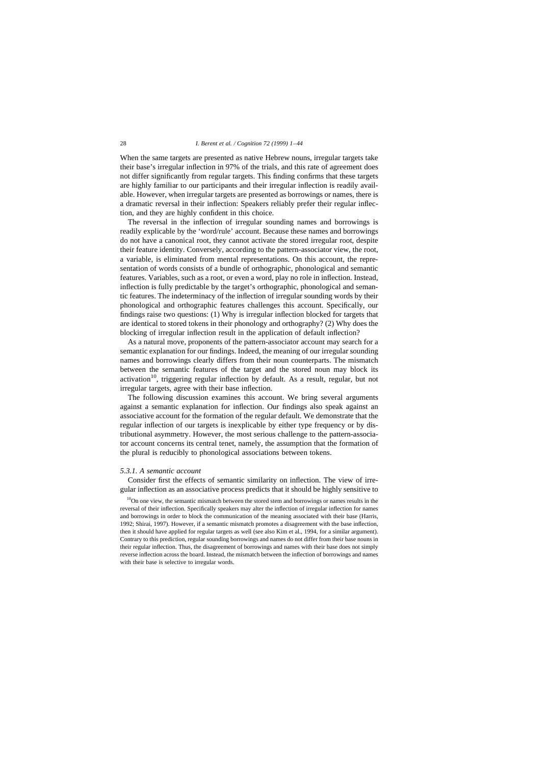When the same targets are presented as native Hebrew nouns, irregular targets take their base's irregular inflection in 97% of the trials, and this rate of agreement does not differ significantly from regular targets. This finding confirms that these targets are highly familiar to our participants and their irregular inflection is readily available. However, when irregular targets are presented as borrowings or names, there is a dramatic reversal in their inflection: Speakers reliably prefer their regular inflection, and they are highly confident in this choice.

The reversal in the inflection of irregular sounding names and borrowings is readily explicable by the 'word/rule' account. Because these names and borrowings do not have a canonical root, they cannot activate the stored irregular root, despite their feature identity. Conversely, according to the pattern-associator view, the root, a variable, is eliminated from mental representations. On this account, the representation of words consists of a bundle of orthographic, phonological and semantic features. Variables, such as a root, or even a word, play no role in inflection. Instead, inflection is fully predictable by the target's orthographic, phonological and semantic features. The indeterminacy of the inflection of irregular sounding words by their phonological and orthographic features challenges this account. Specifically, our findings raise two questions: (1) Why is irregular inflection blocked for targets that are identical to stored tokens in their phonology and orthography? (2) Why does the blocking of irregular inflection result in the application of default inflection?

As a natural move, proponents of the pattern-associator account may search for a semantic explanation for our findings. Indeed, the meaning of our irregular sounding names and borrowings clearly differs from their noun counterparts. The mismatch between the semantic features of the target and the stored noun may block its  $activation<sup>10</sup>$ , triggering regular inflection by default. As a result, regular, but not irregular targets, agree with their base inflection.

The following discussion examines this account. We bring several arguments against a semantic explanation for inflection. Our findings also speak against an associative account for the formation of the regular default. We demonstrate that the regular inflection of our targets is inexplicable by either type frequency or by distributional asymmetry. However, the most serious challenge to the pattern-associator account concerns its central tenet, namely, the assumption that the formation of the plural is reducibly to phonological associations between tokens.

#### *5.3.1. A semantic account*

Consider first the effects of semantic similarity on inflection. The view of irregular inflection as an associative process predicts that it should be highly sensitive to

 $10<sup>10</sup>$ On one view, the semantic mismatch between the stored stem and borrowings or names results in the reversal of their inflection. Specifically speakers may alter the inflection of irregular inflection for names and borrowings in order to block the communication of the meaning associated with their base (Harris, 1992; Shirai, 1997). However, if a semantic mismatch promotes a disagreement with the base inflection, then it should have applied for regular targets as well (see also Kim et al., 1994, for a similar argument). Contrary to this prediction, regular sounding borrowings and names do not differ from their base nouns in their regular inflection. Thus, the disagreement of borrowings and names with their base does not simply reverse inflection across the board. Instead, the mismatch between the inflection of borrowings and names with their base is selective to irregular words.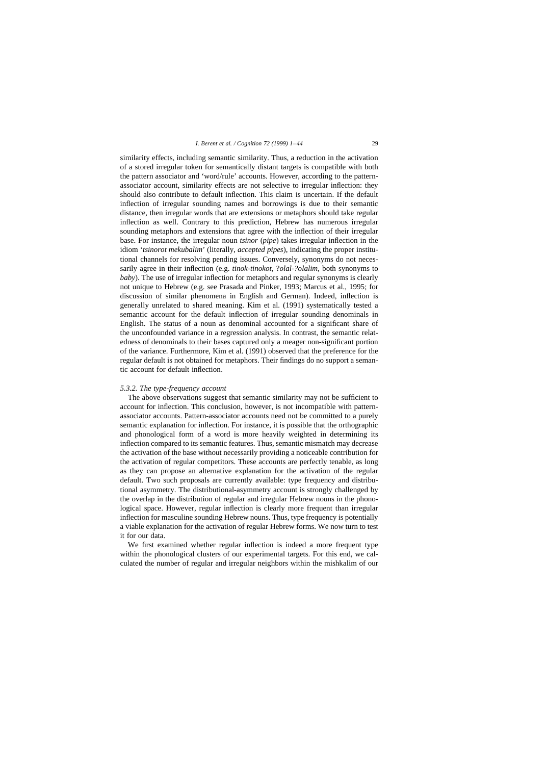similarity effects, including semantic similarity. Thus, a reduction in the activation of a stored irregular token for semantically distant targets is compatible with both the pattern associator and 'word/rule' accounts. However, according to the patternassociator account, similarity effects are not selective to irregular inflection: they should also contribute to default inflection. This claim is uncertain. If the default inflection of irregular sounding names and borrowings is due to their semantic distance, then irregular words that are extensions or metaphors should take regular inflection as well. Contrary to this prediction, Hebrew has numerous irregular sounding metaphors and extensions that agree with the inflection of their irregular base. For instance, the irregular noun *tsinor* (*pipe*) takes irregular inflection in the idiom '*tsinorot mekubalim*' (literally, *accepted pipes*), indicating the proper institutional channels for resolving pending issues. Conversely, synonyms do not necessarily agree in their inflection (e.g. *tinok-tinokot*, ?*olal-?olalim*, both synonyms to *baby*). The use of irregular inflection for metaphors and regular synonyms is clearly not unique to Hebrew (e.g. see Prasada and Pinker, 1993; Marcus et al., 1995; for discussion of similar phenomena in English and German). Indeed, inflection is generally unrelated to shared meaning. Kim et al. (1991) systematically tested a semantic account for the default inflection of irregular sounding denominals in English. The status of a noun as denominal accounted for a significant share of the unconfounded variance in a regression analysis. In contrast, the semantic relatedness of denominals to their bases captured only a meager non-significant portion of the variance. Furthermore, Kim et al. (1991) observed that the preference for the regular default is not obtained for metaphors. Their findings do no support a semantic account for default inflection.

#### *5.3.2. The type-frequency account*

The above observations suggest that semantic similarity may not be sufficient to account for inflection. This conclusion, however, is not incompatible with patternassociator accounts. Pattern-associator accounts need not be committed to a purely semantic explanation for inflection. For instance, it is possible that the orthographic and phonological form of a word is more heavily weighted in determining its inflection compared to its semantic features. Thus, semantic mismatch may decrease the activation of the base without necessarily providing a noticeable contribution for the activation of regular competitors. These accounts are perfectly tenable, as long as they can propose an alternative explanation for the activation of the regular default. Two such proposals are currently available: type frequency and distributional asymmetry. The distributional-asymmetry account is strongly challenged by the overlap in the distribution of regular and irregular Hebrew nouns in the phonological space. However, regular inflection is clearly more frequent than irregular inflection for masculine sounding Hebrew nouns. Thus, type frequency is potentially a viable explanation for the activation of regular Hebrew forms. We now turn to test it for our data.

We first examined whether regular inflection is indeed a more frequent type within the phonological clusters of our experimental targets. For this end, we calculated the number of regular and irregular neighbors within the mishkalim of our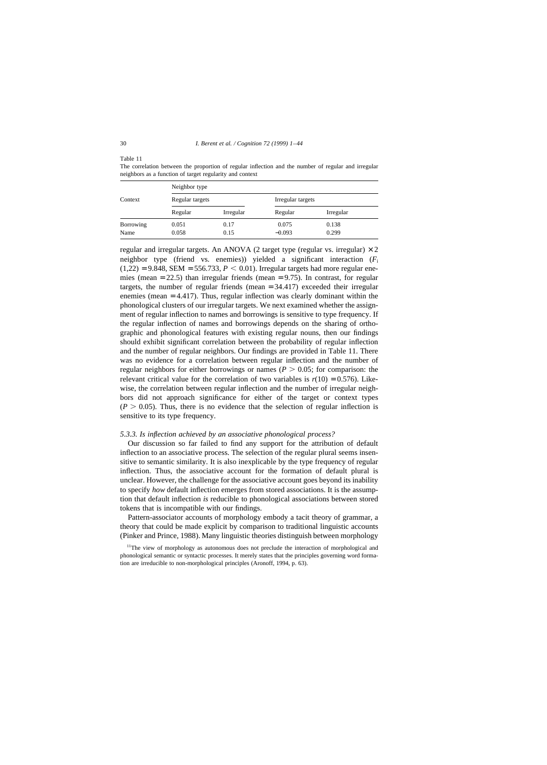| The correlation between the proportion of regular inflection and the number of regular and irregular |  |  |
|------------------------------------------------------------------------------------------------------|--|--|
| neighbors as a function of target regularity and context                                             |  |  |

| Context           | Neighbor type   |              |                   |                |  |  |
|-------------------|-----------------|--------------|-------------------|----------------|--|--|
|                   | Regular targets |              | Irregular targets |                |  |  |
|                   | Regular         | Irregular    | Regular           | Irregular      |  |  |
| Borrowing<br>Name | 0.051<br>0.058  | 0.17<br>0.15 | 0.075<br>$-0.093$ | 0.138<br>0.299 |  |  |

regular and irregular targets. An ANOVA (2 target type (regular vs. irregular)  $\times$  2 neighbor type (friend vs. enemies)) yielded a significant interaction (*F*<sup>i</sup>  $(1,22) = 9.848$ , SEM = 556.733,  $P < 0.01$ ). Irregular targets had more regular enemies (mean  $= 22.5$ ) than irregular friends (mean  $= 9.75$ ). In contrast, for regular targets, the number of regular friends (mean  $=$  34.417) exceeded their irregular enemies (mean  $= 4.417$ ). Thus, regular inflection was clearly dominant within the phonological clusters of our irregular targets. We next examined whether the assignment of regular inflection to names and borrowings is sensitive to type frequency. If the regular inflection of names and borrowings depends on the sharing of orthographic and phonological features with existing regular nouns, then our findings should exhibit significant correlation between the probability of regular inflection and the number of regular neighbors. Our findings are provided in Table 11. There was no evidence for a correlation between regular inflection and the number of regular neighbors for either borrowings or names ( $P > 0.05$ ; for comparison: the relevant critical value for the correlation of two variables is  $r(10) = 0.576$ ). Likewise, the correlation between regular inflection and the number of irregular neighbors did not approach significance for either of the target or context types  $(P > 0.05)$ . Thus, there is no evidence that the selection of regular inflection is sensitive to its type frequency.

#### *5.3.3. Is inflection achieved by an associative phonological process?*

Our discussion so far failed to find any support for the attribution of default inflection to an associative process. The selection of the regular plural seems insensitive to semantic similarity. It is also inexplicable by the type frequency of regular inflection. Thus, the associative account for the formation of default plural is unclear. However, the challenge for the associative account goes beyond its inability to specify *how* default inflection emerges from stored associations. It is the assumption that default inflection *is* reducible to phonological associations between stored tokens that is incompatible with our findings.

Pattern-associator accounts of morphology embody a tacit theory of grammar, a theory that could be made explicit by comparison to traditional linguistic accounts (Pinker and Prince, 1988). Many linguistic theories distinguish between morphology

Table 11

 $11$ The view of morphology as autonomous does not preclude the interaction of morphological and phonological semantic or syntactic processes. It merely states that the principles governing word formation are irreducible to non-morphological principles (Aronoff, 1994, p. 63).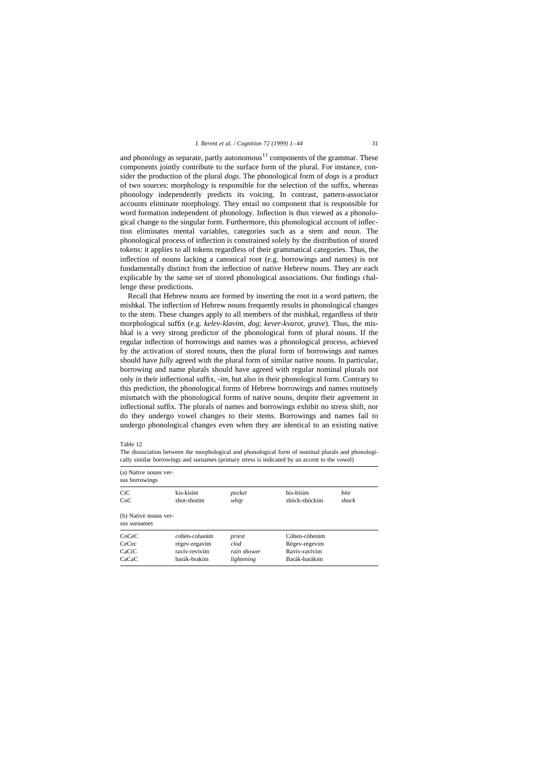and phonology as separate, partly autonomous<sup>11</sup> components of the grammar. These components jointly contribute to the surface form of the plural. For instance, consider the production of the plural *dogs*. The phonological form of *dogs* is a product of two sources: morphology is responsible for the selection of the suffix, whereas phonology independently predicts its voicing. In contrast, pattern-associator accounts eliminate morphology. They entail no component that is responsible for word formation independent of phonology. Inflection is thus viewed as a phonological change to the singular form. Furthermore, this phonological account of inflection eliminates mental variables, categories such as a stem and noun. The phonological process of inflection is constrained solely by the distribution of stored tokens: it applies to all tokens regardless of their grammatical categories. Thus, the inflection of nouns lacking a canonical root (e.g. borrowings and names) is not fundamentally distinct from the inflection of native Hebrew nouns. They are each explicable by the same set of stored phonological associations. Our findings challenge these predictions.

Recall that Hebrew nouns are formed by inserting the root in a word pattern, the mishkal. The inflection of Hebrew nouns frequently results in phonological changes to the stem. These changes apply to all members of the mishkal, regardless of their morphological suffix (e.g. *kelev-klavim*, *dog*; *kever-kvarot*, *grave*). Thus, the mishkal is a very strong predictor of the phonological form of plural nouns. If the regular inflection of borrowings and names was a phonological process, achieved by the activation of stored nouns, then the plural form of borrowings and names should have *fully* agreed with the plural form of similar native nouns. In particular, borrowing and name plurals should have agreed with regular nominal plurals not only in their inflectional suffix, -*im*, but also in their phonological form. Contrary to this prediction, the phonological forms of Hebrew borrowings and names routinely mismatch with the phonological forms of native nouns, despite their agreement in inflectional suffix. The plurals of names and borrowings exhibit no stress shift, nor do they undergo vowel changes to their stems. Borrowings and names fail to undergo phonological changes even when they are identical to an existing native

Table 12

The dissociation between the morphological and phonological form of nominal plurals and phonologically similar borrowings and surnames (primary stress is indicated by an accent to the vowel)

| (a) Native nouns ver-<br>sus borrowings |                          |                |                            |               |  |  |
|-----------------------------------------|--------------------------|----------------|----------------------------|---------------|--|--|
| CiC<br>CoC<br>(b) Native nouns ver-     | kis-kisím<br>shot-shotím | pocket<br>whip | bis-bísim<br>shóck-shóckim | bite<br>shock |  |  |
| sus surnames                            |                          |                |                            |               |  |  |
| CoCeC                                   | cohén-cohaním            | priest         | Cóhen-cóhenim              |               |  |  |
| CeCec                                   | régev-regavím            | clod           | Régev-régevim              |               |  |  |
| CaCiC                                   | ravív-revivím            | rain shower    | Ravív-ravívim              |               |  |  |
| CaCaC                                   | barák-brakím             | lightening     | Barák-barákim              |               |  |  |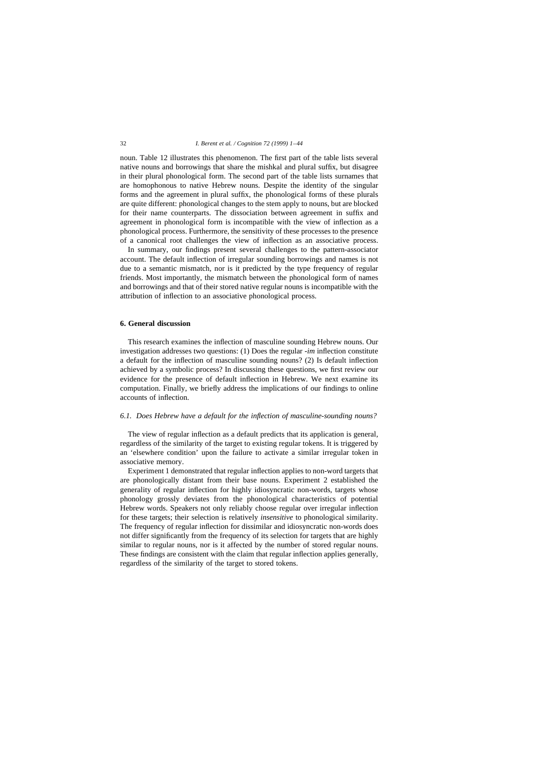noun. Table 12 illustrates this phenomenon. The first part of the table lists several native nouns and borrowings that share the mishkal and plural suffix, but disagree in their plural phonological form. The second part of the table lists surnames that are homophonous to native Hebrew nouns. Despite the identity of the singular forms and the agreement in plural suffix, the phonological forms of these plurals are quite different: phonological changes to the stem apply to nouns, but are blocked for their name counterparts. The dissociation between agreement in suffix and agreement in phonological form is incompatible with the view of inflection as a phonological process. Furthermore, the sensitivity of these processes to the presence of a canonical root challenges the view of inflection as an associative process.

In summary, our findings present several challenges to the pattern-associator account. The default inflection of irregular sounding borrowings and names is not due to a semantic mismatch, nor is it predicted by the type frequency of regular friends. Most importantly, the mismatch between the phonological form of names and borrowings and that of their stored native regular nouns is incompatible with the attribution of inflection to an associative phonological process.

### **6. General discussion**

This research examines the inflection of masculine sounding Hebrew nouns. Our investigation addresses two questions: (1) Does the regular -*im* inflection constitute a default for the inflection of masculine sounding nouns? (2) Is default inflection achieved by a symbolic process? In discussing these questions, we first review our evidence for the presence of default inflection in Hebrew. We next examine its computation. Finally, we briefly address the implications of our findings to online accounts of inflection.

#### *6.1. Does Hebrew have a default for the inflection of masculine-sounding nouns?*

The view of regular inflection as a default predicts that its application is general, regardless of the similarity of the target to existing regular tokens. It is triggered by an 'elsewhere condition' upon the failure to activate a similar irregular token in associative memory.

Experiment 1 demonstrated that regular inflection applies to non-word targets that are phonologically distant from their base nouns. Experiment 2 established the generality of regular inflection for highly idiosyncratic non-words, targets whose phonology grossly deviates from the phonological characteristics of potential Hebrew words. Speakers not only reliably choose regular over irregular inflection for these targets; their selection is relatively *insensitive* to phonological similarity. The frequency of regular inflection for dissimilar and idiosyncratic non-words does not differ significantly from the frequency of its selection for targets that are highly similar to regular nouns, nor is it affected by the number of stored regular nouns. These findings are consistent with the claim that regular inflection applies generally, regardless of the similarity of the target to stored tokens.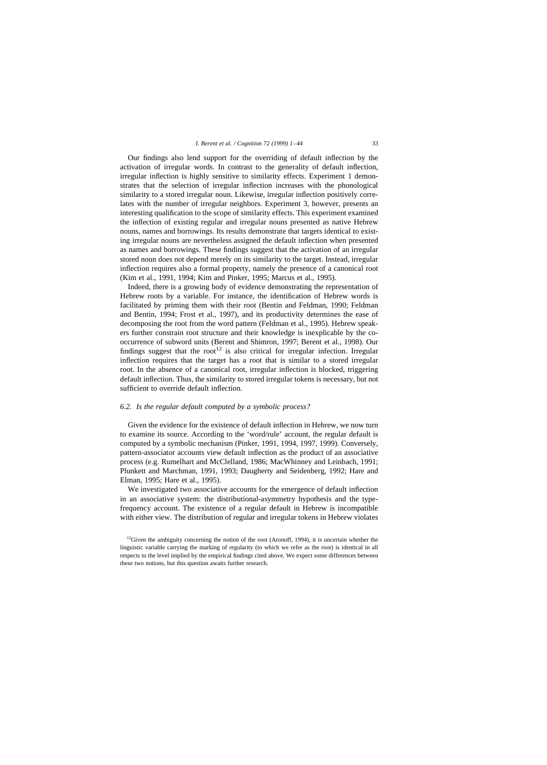Our findings also lend support for the overriding of default inflection by the activation of irregular words. In contrast to the generality of default inflection, irregular inflection is highly sensitive to similarity effects. Experiment 1 demonstrates that the selection of irregular inflection increases with the phonological similarity to a stored irregular noun. Likewise, irregular inflection positively correlates with the number of irregular neighbors. Experiment 3, however, presents an interesting qualification to the scope of similarity effects. This experiment examined the inflection of existing regular and irregular nouns presented as native Hebrew nouns, names and borrowings. Its results demonstrate that targets identical to existing irregular nouns are nevertheless assigned the default inflection when presented as names and borrowings. These findings suggest that the activation of an irregular stored noun does not depend merely on its similarity to the target. Instead, irregular inflection requires also a formal property, namely the presence of a canonical root (Kim et al., 1991, 1994; Kim and Pinker, 1995; Marcus et al., 1995).

Indeed, there is a growing body of evidence demonstrating the representation of Hebrew roots by a variable. For instance, the identification of Hebrew words is facilitated by priming them with their root (Bentin and Feldman, 1990; Feldman and Bentin, 1994; Frost et al., 1997), and its productivity determines the ease of decomposing the root from the word pattern (Feldman et al., 1995). Hebrew speakers further constrain root structure and their knowledge is inexplicable by the cooccurrence of subword units (Berent and Shimron, 1997; Berent et al., 1998). Our findings suggest that the root<sup>12</sup> is also critical for irregular infection. Irregular inflection requires that the target has a root that is similar to a stored irregular root. In the absence of a canonical root, irregular inflection is blocked, triggering default inflection. Thus, the similarity to stored irregular tokens is necessary, but not sufficient to override default inflection.

# *6.2. Is the regular default computed by a symbolic process?*

Given the evidence for the existence of default inflection in Hebrew, we now turn to examine its source. According to the 'word/rule' account, the regular default is computed by a symbolic mechanism (Pinker, 1991, 1994, 1997, 1999). Conversely, pattern-associator accounts view default inflection as the product of an associative process (e.g. Rumelhart and McClelland, 1986; MacWhinney and Leinbach, 1991; Plunkett and Marchman, 1991, 1993; Daugherty and Seidenberg, 1992; Hare and Elman, 1995; Hare et al., 1995).

We investigated two associative accounts for the emergence of default inflection in an associative system: the distributional-asymmetry hypothesis and the typefrequency account. The existence of a regular default in Hebrew is incompatible with either view. The distribution of regular and irregular tokens in Hebrew violates

 $12$ Given the ambiguity concerning the notion of the root (Aronoff, 1994), it is uncertain whether the linguistic variable carrying the marking of regularity (to which we refer as the root) is identical in all respects to the level implied by the empirical findings cited above. We expect some differences between these two notions, but this question awaits further research.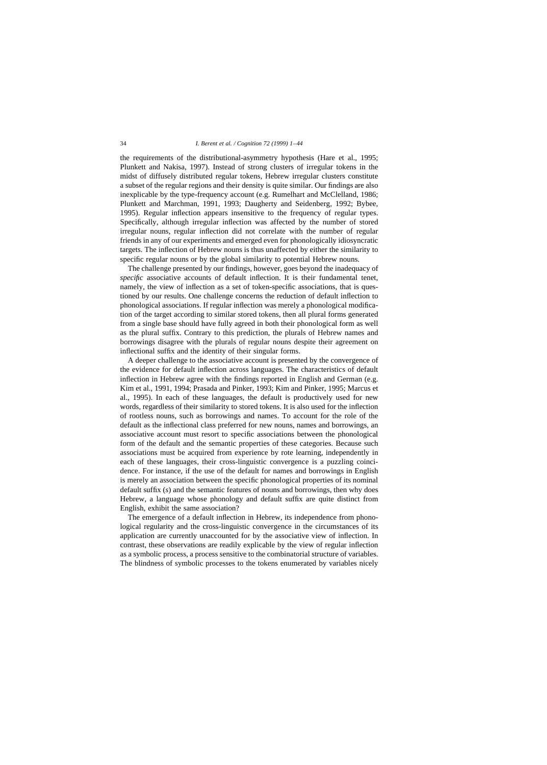the requirements of the distributional-asymmetry hypothesis (Hare et al., 1995; Plunkett and Nakisa, 1997). Instead of strong clusters of irregular tokens in the midst of diffusely distributed regular tokens, Hebrew irregular clusters constitute a subset of the regular regions and their density is quite similar. Our findings are also inexplicable by the type-frequency account (e.g. Rumelhart and McClelland, 1986; Plunkett and Marchman, 1991, 1993; Daugherty and Seidenberg, 1992; Bybee, 1995). Regular inflection appears insensitive to the frequency of regular types. Specifically, although irregular inflection was affected by the number of stored irregular nouns, regular inflection did not correlate with the number of regular friends in any of our experiments and emerged even for phonologically idiosyncratic targets. The inflection of Hebrew nouns is thus unaffected by either the similarity to specific regular nouns or by the global similarity to potential Hebrew nouns.

The challenge presented by our findings, however, goes beyond the inadequacy of *specific* associative accounts of default inflection. It is their fundamental tenet, namely, the view of inflection as a set of token-specific associations, that is questioned by our results. One challenge concerns the reduction of default inflection to phonological associations. If regular inflection was merely a phonological modification of the target according to similar stored tokens, then all plural forms generated from a single base should have fully agreed in both their phonological form as well as the plural suffix. Contrary to this prediction, the plurals of Hebrew names and borrowings disagree with the plurals of regular nouns despite their agreement on inflectional suffix and the identity of their singular forms.

A deeper challenge to the associative account is presented by the convergence of the evidence for default inflection across languages. The characteristics of default inflection in Hebrew agree with the findings reported in English and German (e.g. Kim et al., 1991, 1994; Prasada and Pinker, 1993; Kim and Pinker, 1995; Marcus et al., 1995). In each of these languages, the default is productively used for new words, regardless of their similarity to stored tokens. It is also used for the inflection of rootless nouns, such as borrowings and names. To account for the role of the default as the inflectional class preferred for new nouns, names and borrowings, an associative account must resort to specific associations between the phonological form of the default and the semantic properties of these categories. Because such associations must be acquired from experience by rote learning, independently in each of these languages, their cross-linguistic convergence is a puzzling coincidence. For instance, if the use of the default for names and borrowings in English is merely an association between the specific phonological properties of its nominal default suffix (*s*) and the semantic features of nouns and borrowings, then why does Hebrew, a language whose phonology and default suffix are quite distinct from English, exhibit the same association?

The emergence of a default inflection in Hebrew, its independence from phonological regularity and the cross-linguistic convergence in the circumstances of its application are currently unaccounted for by the associative view of inflection. In contrast, these observations are readily explicable by the view of regular inflection as a symbolic process, a process sensitive to the combinatorial structure of variables. The blindness of symbolic processes to the tokens enumerated by variables nicely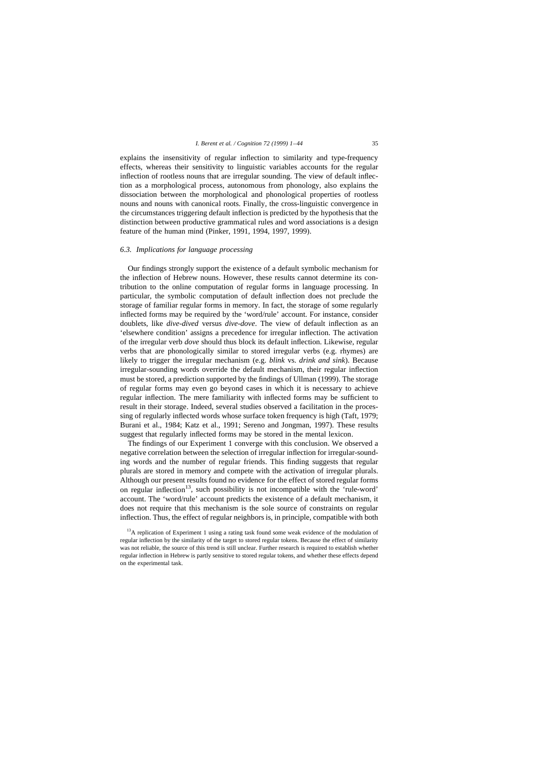explains the insensitivity of regular inflection to similarity and type-frequency effects, whereas their sensitivity to linguistic variables accounts for the regular inflection of rootless nouns that are irregular sounding. The view of default inflection as a morphological process, autonomous from phonology, also explains the dissociation between the morphological and phonological properties of rootless nouns and nouns with canonical roots. Finally, the cross-linguistic convergence in the circumstances triggering default inflection is predicted by the hypothesis that the distinction between productive grammatical rules and word associations is a design feature of the human mind (Pinker, 1991, 1994, 1997, 1999).

# *6.3. Implications for language processing*

Our findings strongly support the existence of a default symbolic mechanism for the inflection of Hebrew nouns. However, these results cannot determine its contribution to the online computation of regular forms in language processing. In particular, the symbolic computation of default inflection does not preclude the storage of familiar regular forms in memory. In fact, the storage of some regularly inflected forms may be required by the 'word/rule' account. For instance, consider doublets, like *dive-dived* versus *dive-dove*. The view of default inflection as an 'elsewhere condition' assigns a precedence for irregular inflection. The activation of the irregular verb *dove* should thus block its default inflection. Likewise, regular verbs that are phonologically similar to stored irregular verbs (e.g. rhymes) are likely to trigger the irregular mechanism (e.g. *blink* vs. *drink and sink*). Because irregular-sounding words override the default mechanism, their regular inflection must be stored, a prediction supported by the findings of Ullman (1999). The storage of regular forms may even go beyond cases in which it is necessary to achieve regular inflection. The mere familiarity with inflected forms may be sufficient to result in their storage. Indeed, several studies observed a facilitation in the processing of regularly inflected words whose surface token frequency is high (Taft, 1979; Burani et al., 1984; Katz et al., 1991; Sereno and Jongman, 1997). These results suggest that regularly inflected forms may be stored in the mental lexicon.

The findings of our Experiment 1 converge with this conclusion. We observed a negative correlation between the selection of irregular inflection for irregular-sounding words and the number of regular friends. This finding suggests that regular plurals are stored in memory and compete with the activation of irregular plurals. Although our present results found no evidence for the effect of stored regular forms on regular inflection<sup>13</sup>, such possibility is not incompatible with the 'rule-word' account. The 'word/rule' account predicts the existence of a default mechanism, it does not require that this mechanism is the sole source of constraints on regular inflection. Thus, the effect of regular neighbors is, in principle, compatible with both

<sup>&</sup>lt;sup>13</sup>A replication of Experiment 1 using a rating task found some weak evidence of the modulation of regular inflection by the similarity of the target to stored regular tokens. Because the effect of similarity was not reliable, the source of this trend is still unclear. Further research is required to establish whether regular inflection in Hebrew is partly sensitive to stored regular tokens, and whether these effects depend on the experimental task.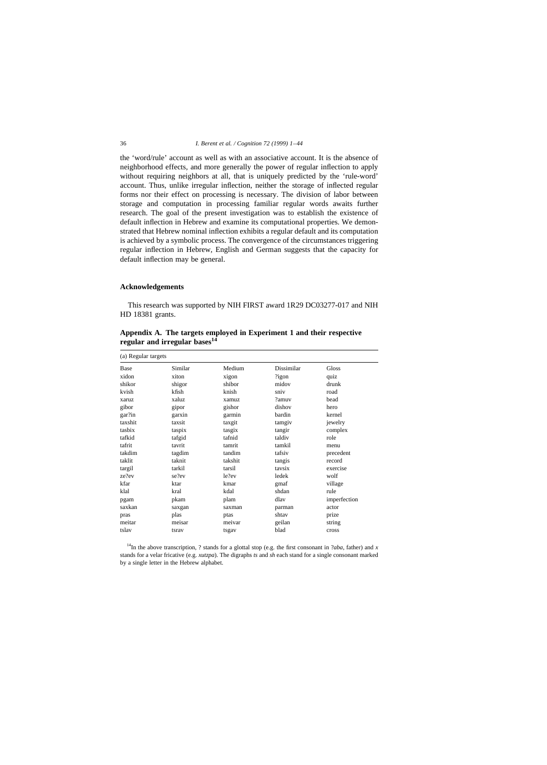the 'word/rule' account as well as with an associative account. It is the absence of neighborhood effects, and more generally the power of regular inflection to apply without requiring neighbors at all, that is uniquely predicted by the 'rule-word' account. Thus, unlike irregular inflection, neither the storage of inflected regular forms nor their effect on processing is necessary. The division of labor between storage and computation in processing familiar regular words awaits further research. The goal of the present investigation was to establish the existence of default inflection in Hebrew and examine its computational properties. We demonstrated that Hebrew nominal inflection exhibits a regular default and its computation is achieved by a symbolic process. The convergence of the circumstances triggering regular inflection in Hebrew, English and German suggests that the capacity for default inflection may be general.

#### **Acknowledgements**

This research was supported by NIH FIRST award 1R29 DC03277-017 and NIH HD 18381 grants.

| (a) Regular targets |         |         |            |              |  |  |  |
|---------------------|---------|---------|------------|--------------|--|--|--|
| Base                | Similar | Medium  | Dissimilar | Gloss        |  |  |  |
| xidon               | xiton   | xigon   | $?$ igon   | quiz         |  |  |  |
| shikor              | shigor  | shibor  | midov      | drunk        |  |  |  |
| kvish               | kfish   | knish   | sniv       | road         |  |  |  |
| xaruz               | xaluz   | xamuz   | ?amuv      | bead         |  |  |  |
| gibor               | gipor   | gishor  | dishov     | hero         |  |  |  |
| gar?in              | garxin  | garmin  | bardin     | kernel       |  |  |  |
| taxshit             | taxsit  | taxgit  | tamgiv     | jewelry      |  |  |  |
| tasbix              | taspix  | tasgix  | tangir     | complex      |  |  |  |
| tafkid              | tafgid  | tafnid  | taldiv     | role         |  |  |  |
| tafrit              | tavrit  | tamrit  | tamkil     | menu         |  |  |  |
| takdim              | tagdim  | tandim  | tafsiv     | precedent    |  |  |  |
| taklit              | taknit  | takshit | tangis     | record       |  |  |  |
| targil              | tarkil  | tarsil  | tavsix     | exercise     |  |  |  |
| ze?ev               | se?ev   | le?ev   | ledek      | wolf         |  |  |  |
| kfar                | ktar    | kmar    | gmaf       | village      |  |  |  |
| klal                | kral    | kdal    | shdan      | rule         |  |  |  |
| pgam                | pkam    | plam    | dlav       | imperfection |  |  |  |
| saxkan              | saxgan  | saxman  | parman     | actor        |  |  |  |
| pras                | plas    | ptas    | shtav      | prize        |  |  |  |
| meitar              | meisar  | meivar  | geilan     | string       |  |  |  |
| tslav               | tsrav   | tsgav   | blad       | cross        |  |  |  |

**Appendix A. The targets employed in Experiment 1 and their respective regular and irregular bases**<sup>14</sup>

<sup>14</sup>In the above transcription, ? stands for a glottal stop (e.g. the first consonant in  $?aba$ , father) and *x* stands for a velar fricative (e.g. *xutzpa*). The digraphs *ts* and *sh* each stand for a single consonant marked by a single letter in the Hebrew alphabet.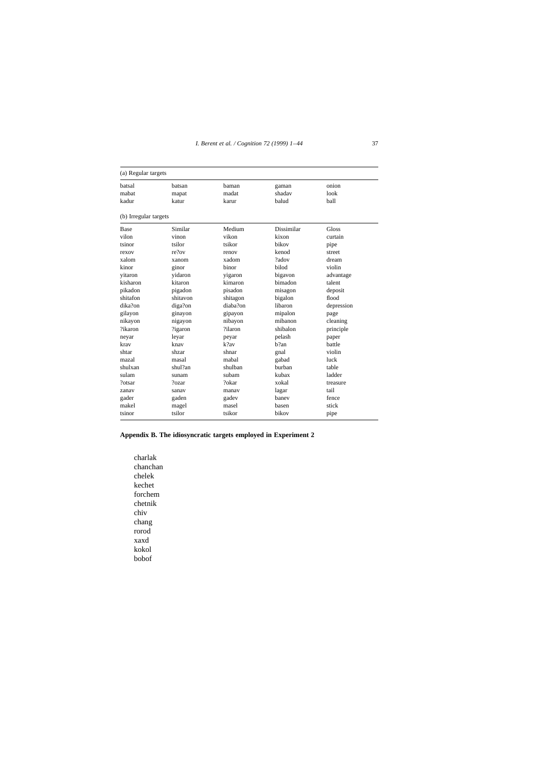| (a) Regular targets   |          |                |            |                    |  |  |  |  |
|-----------------------|----------|----------------|------------|--------------------|--|--|--|--|
| batsal                | batsan   | baman<br>gaman |            | onion              |  |  |  |  |
| mabat                 | mapat    | madat          | shadav     | look               |  |  |  |  |
| kadur                 | katur    | karur          | balud      | <b>ball</b>        |  |  |  |  |
| (b) Irregular targets |          |                |            |                    |  |  |  |  |
| <b>Base</b>           | Similar  | Medium         | Dissimilar | Gloss              |  |  |  |  |
| vilon                 | vinon    | vikon          | kixon      | curtain            |  |  |  |  |
| tsinor                | tsilor   | tsikor         | bikov      | pipe               |  |  |  |  |
| rexov                 | re?ov    | renov          | kenod      | street             |  |  |  |  |
| xalom                 | xanom    | xadom          | ?adov      | dream              |  |  |  |  |
| kinor                 | ginor    | binor          | bilod      | violin             |  |  |  |  |
| yitaron               | vidaron  | yigaron        | bigavon    | advantage          |  |  |  |  |
| kisharon              | kitaron  | kimaron        | bimadon    | talent             |  |  |  |  |
| pikadon               | pigadon  | pisadon        | misagon    | deposit            |  |  |  |  |
| shitafon              | shitavon | shitagon       | bigalon    | flood              |  |  |  |  |
| dika?on               | diga?on  | diaba?on       | libaron    | depression         |  |  |  |  |
| gilayon               | ginayon  | gipayon        | mipalon    | page               |  |  |  |  |
| nikayon               | nigayon  | nibayon        | mibanon    | cleaning           |  |  |  |  |
| ?ikaron               | ?igaron  | ?ilaron        | shibalon   | principle          |  |  |  |  |
| neyar                 | leyar    | peyar          | pelash     | paper              |  |  |  |  |
| krav                  | knav     | $k$ ?av        | $b$ ?an    | hattle             |  |  |  |  |
| shtar                 | shzar    | shnar          | gnal       | violin             |  |  |  |  |
| mazal                 | masal    | mabal          | gabad      | $_{\textup{luck}}$ |  |  |  |  |
| shulxan               | shul?an  | shulban        | burban     | table              |  |  |  |  |
| sulam                 | sunam    | subam          | kubax      | ladder             |  |  |  |  |
| ?otsar                | ?ozar    | ?okar          | xokal      | treasure           |  |  |  |  |
| zanav                 | sanav    | manav          | lagar      | tail               |  |  |  |  |
| gader                 | gaden    | gadev          | banev      | fence              |  |  |  |  |
| makel                 | magel    | masel          | basen      | stick              |  |  |  |  |
| tsinor                | tsilor   | tsikor         | bikov      | pipe               |  |  |  |  |

# **Appendix B. The idiosyncratic targets employed in Experiment 2**

charlak chanchan chelek kechet forchem chetnik chiv chang rorod xaxd kokol bobof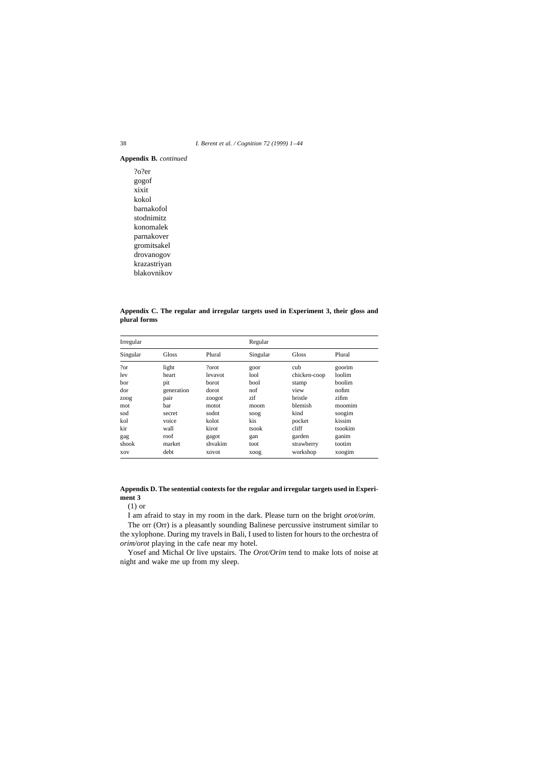?o?er gogof xixit kokol barnakofol stodnimitz konomalek parnakover gromitsakel drovanogov krazastriyan blakovnikov

# **Appendix C. The regular and irregular targets used in Experiment 3, their gloss and plural forms**

| Irregular       |            |         | Regular  |              |         |  |  |
|-----------------|------------|---------|----------|--------------|---------|--|--|
| Singular        | Gloss      | Plural  | Singular | Gloss        | Plural  |  |  |
| 2 <sub>or</sub> | light      | ?orot   | goor     | cub          | goorim  |  |  |
| lev             | heart      | levavot | lool     | chicken-coop | loolim  |  |  |
| bor             | pit        | borot   | bool     | stamp        | boolim  |  |  |
| dor             | generation | dorot   | nof      | view         | nofim   |  |  |
| zoog            | pair       | zoogot  | zif      | bristle      | zifim   |  |  |
| mot             | bar        | motot   | moom     | blemish      | moomim  |  |  |
| sod             | secret     | sodot   | soog     | kind         | soogim  |  |  |
| kol             | voice      | kolot   | kis      | pocket       | kissim  |  |  |
| kir             | wall       | kirot   | tsook    | cliff        | tsookim |  |  |
| gag             | roof       | gagot   | gan      | garden       | ganim   |  |  |
| shook           | market     | shvakim | toot     | strawberry   | tootim  |  |  |
| XOV             | debt       | xovot   | xoog     | workshop     | xoogim  |  |  |

# **Appendix D. The sentential contexts for the regular and irregular targets used in Experiment 3**

(1) or

I am afraid to stay in my room in the dark. Please turn on the bright *orot/orim*.

The orr (Orr) is a pleasantly sounding Balinese percussive instrument similar to the xylophone. During my travels in Bali, I used to listen for hours to the orchestra of *orim/orot* playing in the cafe near my hotel.

Yosef and Michal Or live upstairs. The *Orot/Orim* tend to make lots of noise at night and wake me up from my sleep.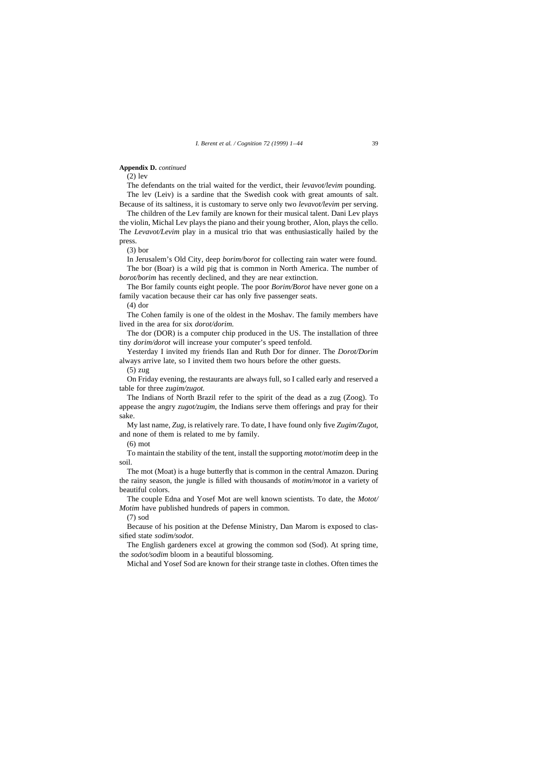(2) lev

The defendants on the trial waited for the verdict, their *levavot/levim* pounding. The lev (Leiv) is a sardine that the Swedish cook with great amounts of salt.

Because of its saltiness, it is customary to serve only two *levavot/levim* per serving. The children of the Lev family are known for their musical talent. Dani Lev plays

the violin, Michal Lev plays the piano and their young brother, Alon, plays the cello. The *Levavot/Levim* play in a musical trio that was enthusiastically hailed by the press.

(3) bor

In Jerusalem's Old City, deep *borim/borot* for collecting rain water were found.

The bor (Boar) is a wild pig that is common in North America. The number of *borot/borim* has recently declined, and they are near extinction.

The Bor family counts eight people. The poor *Borim/Borot* have never gone on a family vacation because their car has only five passenger seats.

(4) dor

The Cohen family is one of the oldest in the Moshav. The family members have lived in the area for six *dorot/dorim*.

The dor (DOR) is a computer chip produced in the US. The installation of three tiny *dorim/dorot* will increase your computer's speed tenfold.

Yesterday I invited my friends Ilan and Ruth Dor for dinner. The *Dorot/Dorim* always arrive late, so I invited them two hours before the other guests.

(5) zug

On Friday evening, the restaurants are always full, so I called early and reserved a table for three *zugim/zugot*.

The Indians of North Brazil refer to the spirit of the dead as a zug (Zoog). To appease the angry *zugot/zugim*, the Indians serve them offerings and pray for their sake.

My last name, *Zug*, is relatively rare. To date, I have found only five *Zugim/Zugot*, and none of them is related to me by family.

(6) mot

To maintain the stability of the tent, install the supporting *motot*/*motim* deep in the soil.

The mot (Moat) is a huge butterfly that is common in the central Amazon. During the rainy season, the jungle is filled with thousands of *motim/motot* in a variety of beautiful colors.

The couple Edna and Yosef Mot are well known scientists. To date, the *Motot/ Motim* have published hundreds of papers in common.

(7) sod

Because of his position at the Defense Ministry, Dan Marom is exposed to classified state *sodim/sodot*.

The English gardeners excel at growing the common sod (Sod). At spring time, the *sodot/sodim* bloom in a beautiful blossoming.

Michal and Yosef Sod are known for their strange taste in clothes. Often times the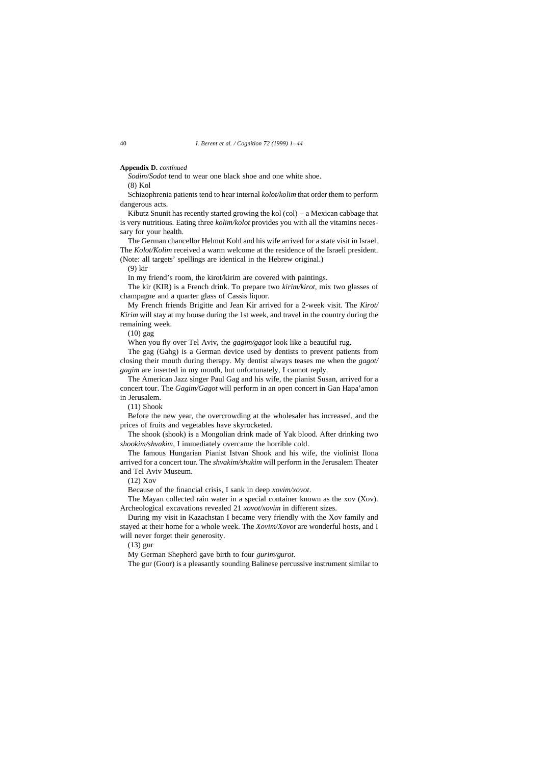*Sodim/Sodot* tend to wear one black shoe and one white shoe.

(8) Kol

Schizophrenia patients tend to hear internal *kolot/kolim* that order them to perform dangerous acts.

Kibutz Snunit has recently started growing the kol  $\text{(col)}$  – a Mexican cabbage that is very nutritious. Eating three *kolim/kolot* provides you with all the vitamins necessary for your health.

The German chancellor Helmut Kohl and his wife arrived for a state visit in Israel. The *Kolot/Kolim* received a warm welcome at the residence of the Israeli president. (Note: all targets' spellings are identical in the Hebrew original.)

(9) kir

In my friend's room, the kirot/kirim are covered with paintings.

The kir (KIR) is a French drink. To prepare two *kirim/kirot*, mix two glasses of champagne and a quarter glass of Cassis liquor.

My French friends Brigitte and Jean Kir arrived for a 2-week visit. The *Kirot/ Kirim* will stay at my house during the 1st week, and travel in the country during the remaining week.

(10) gag

When you fly over Tel Aviv, the *gagim/gagot* look like a beautiful rug.

The gag (Gahg) is a German device used by dentists to prevent patients from closing their mouth during therapy. My dentist always teases me when the *gagot/ gagim* are inserted in my mouth, but unfortunately, I cannot reply.

The American Jazz singer Paul Gag and his wife, the pianist Susan, arrived for a concert tour. The *Gagim/Gagot* will perform in an open concert in Gan Hapa'amon in Jerusalem.

(11) Shook

Before the new year, the overcrowding at the wholesaler has increased, and the prices of fruits and vegetables have skyrocketed.

The shook (shook) is a Mongolian drink made of Yak blood. After drinking two *shookim/shvakim*, I immediately overcame the horrible cold.

The famous Hungarian Pianist Istvan Shook and his wife, the violinist Ilona arrived for a concert tour. The *shvakim/shukim* will perform in the Jerusalem Theater and Tel Aviv Museum.

(12) Xov

Because of the financial crisis, I sank in deep *xovim/xovot*.

The Mayan collected rain water in a special container known as the xov (Xov). Archeological excavations revealed 21 *xovot/xovim* in different sizes.

During my visit in Kazachstan I became very friendly with the Xov family and stayed at their home for a whole week. The *Xovim/Xovot* are wonderful hosts, and I will never forget their generosity.

(13) gur

My German Shepherd gave birth to four *gurim/gurot*.

The gur (Goor) is a pleasantly sounding Balinese percussive instrument similar to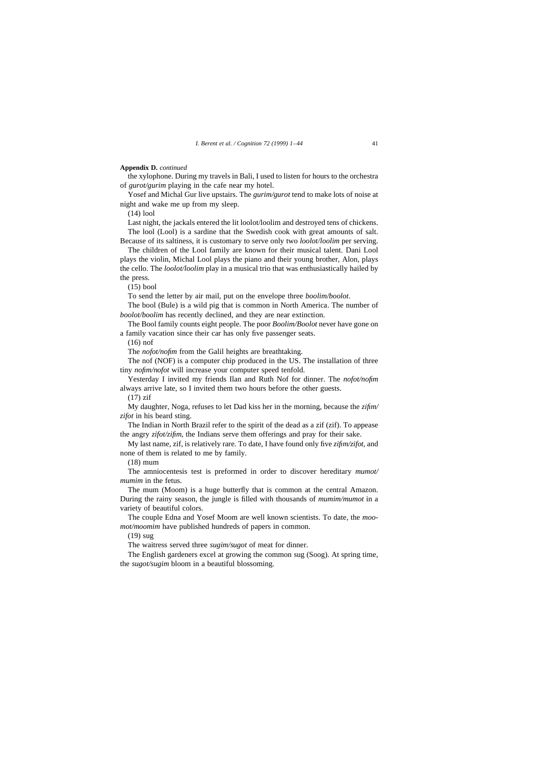the xylophone. During my travels in Bali, I used to listen for hours to the orchestra of *gurot/gurim* playing in the cafe near my hotel.

Yosef and Michal Gur live upstairs. The *gurim/gurot* tend to make lots of noise at night and wake me up from my sleep.

(14) lool

Last night, the jackals entered the lit loolot/loolim and destroyed tens of chickens. The lool (Lool) is a sardine that the Swedish cook with great amounts of salt.

Because of its saltiness, it is customary to serve only two *loolot/loolim* per serving.

The children of the Lool family are known for their musical talent. Dani Lool plays the violin, Michal Lool plays the piano and their young brother, Alon, plays the cello. The *loolot/loolim* play in a musical trio that was enthusiastically hailed by the press.

(15) bool

To send the letter by air mail, put on the envelope three *boolim/boolot*.

The bool (Bule) is a wild pig that is common in North America. The number of *boolot/boolim* has recently declined, and they are near extinction.

The Bool family counts eight people. The poor *Boolim/Boolot* never have gone on a family vacation since their car has only five passenger seats.

(16) nof

The *nofot/nofim* from the Galil heights are breathtaking.

The nof (NOF) is a computer chip produced in the US. The installation of three tiny *nofim/nofot* will increase your computer speed tenfold.

Yesterday I invited my friends Ilan and Ruth Nof for dinner. The *nofot/nofim* always arrive late, so I invited them two hours before the other guests.

(17) zif

My daughter, Noga, refuses to let Dad kiss her in the morning, because the *zifim/ zifot* in his beard sting.

The Indian in North Brazil refer to the spirit of the dead as a zif (zif). To appease the angry *zifot/zifim*, the Indians serve them offerings and pray for their sake.

My last name, zif, is relatively rare. To date, I have found only five *zifim/zifot*, and none of them is related to me by family.

(18) mum

The amniocentesis test is preformed in order to discover hereditary *mumot/ mumim* in the fetus.

The mum (Moom) is a huge butterfly that is common at the central Amazon. During the rainy season, the jungle is filled with thousands of *mumim/mumot* in a variety of beautiful colors.

The couple Edna and Yosef Moom are well known scientists. To date, the *moomot/moomim* have published hundreds of papers in common.

(19) sug

The waitress served three *sugim/sugot* of meat for dinner.

The English gardeners excel at growing the common sug (Soog). At spring time, the *sugot/sugim* bloom in a beautiful blossoming.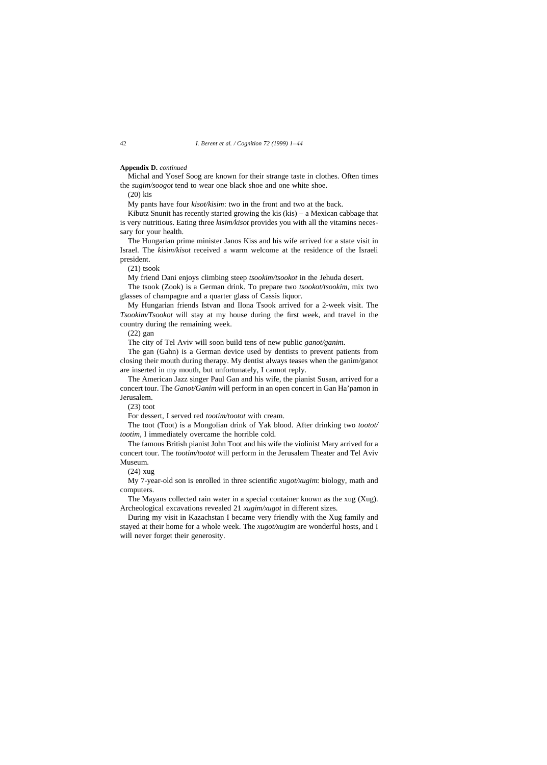Michal and Yosef Soog are known for their strange taste in clothes. Often times the *sugim/soogot* tend to wear one black shoe and one white shoe.

(20) kis

My pants have four *kisot/kisim*: two in the front and two at the back.

Kibutz Snunit has recently started growing the kis  $(kis) - a$  Mexican cabbage that is very nutritious. Eating three *kisim/kisot* provides you with all the vitamins necessary for your health.

The Hungarian prime minister Janos Kiss and his wife arrived for a state visit in Israel. The *kisim/kisot* received a warm welcome at the residence of the Israeli president.

(21) tsook

My friend Dani enjoys climbing steep *tsookim/tsookot* in the Jehuda desert.

The tsook (Zook) is a German drink. To prepare two *tsookot/tsookim*, mix two glasses of champagne and a quarter glass of Cassis liquor.

My Hungarian friends Istvan and Ilona Tsook arrived for a 2-week visit. The *Tsookim/Tsookot* will stay at my house during the first week, and travel in the country during the remaining week.

(22) gan

The city of Tel Aviv will soon build tens of new public *ganot/ganim*.

The gan (Gahn) is a German device used by dentists to prevent patients from closing their mouth during therapy. My dentist always teases when the ganim/ganot are inserted in my mouth, but unfortunately, I cannot reply.

The American Jazz singer Paul Gan and his wife, the pianist Susan, arrived for a concert tour. The *Ganot/Ganim* will perform in an open concert in Gan Ha'pamon in Jerusalem.

(23) toot

For dessert, I served red *tootim/tootot* with cream.

The toot (Toot) is a Mongolian drink of Yak blood. After drinking two *tootot/ tootim*, I immediately overcame the horrible cold.

The famous British pianist John Toot and his wife the violinist Mary arrived for a concert tour. The *tootim/tootot* will perform in the Jerusalem Theater and Tel Aviv Museum.

(24) xug

My 7-year-old son is enrolled in three scientific *xugot/xugim*: biology, math and computers.

The Mayans collected rain water in a special container known as the xug (Xug). Archeological excavations revealed 21 *xugim/xugot* in different sizes.

During my visit in Kazachstan I became very friendly with the Xug family and stayed at their home for a whole week. The *xugot/xugim* are wonderful hosts, and I will never forget their generosity.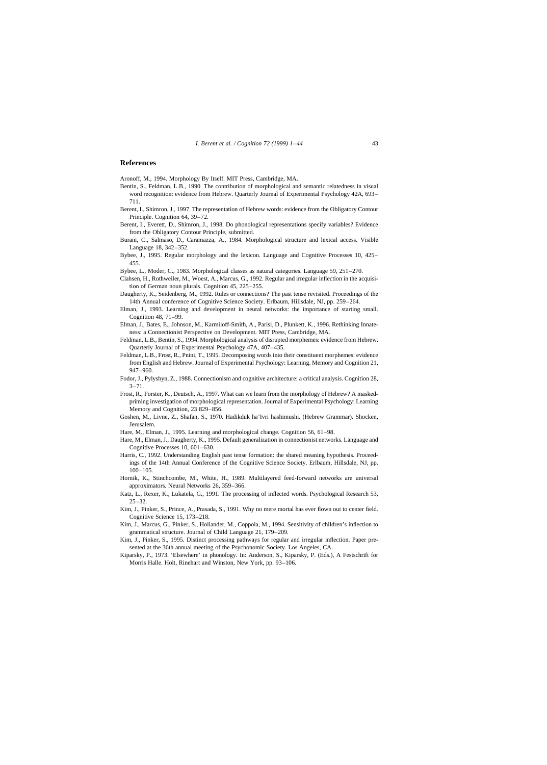#### **References**

Aronoff, M., 1994. Morphology By Itself. MIT Press, Cambridge, MA.

- Bentin, S., Feldman, L.B., 1990. The contribution of morphological and semantic relatedness in visual word recognition: evidence from Hebrew. Quarterly Journal of Experimental Psychology 42A, 693– 711.
- Berent, I., Shimron, J., 1997. The representation of Hebrew words: evidence from the Obligatory Contour Principle. Cognition 64, 39–72.
- Berent, I., Everett, D., Shimron, J., 1998. Do phonological representations specify variables? Evidence from the Obligatory Contour Principle, submitted.
- Burani, C., Salmaso, D., Caramazza, A., 1984. Morphological structure and lexical access. Visible Language 18, 342–352.
- Bybee, J., 1995. Regular morphology and the lexicon. Language and Cognitive Processes 10, 425– 455.
- Bybee, L., Moder, C., 1983. Morphological classes as natural categories. Language 59, 251–270.
- Clahsen, H., Rothweiler, M., Woest, A., Marcus, G., 1992. Regular and irregular inflection in the acquisition of German noun plurals. Cognition 45, 225–255.
- Daugherty, K., Seidenberg, M., 1992. Rules or connections? The past tense revisited. Proceedings of the 14th Annual conference of Cognitive Science Society. Erlbaum, Hillsdale, NJ, pp. 259–264.
- Elman, J., 1993. Learning and development in neural networks: the importance of starting small. Cognition 48, 71–99.
- Elman, J., Bates, E., Johnson, M., Karmiloff-Smith, A., Parisi, D., Plunkett, K., 1996. Rethinking Innateness: a Connectionist Perspective on Development. MIT Press, Cambridge, MA.
- Feldman, L.B., Bentin, S., 1994. Morphological analysis of disrupted morphemes: evidence from Hebrew. Quarterly Journal of Experimental Psychology 47A, 407–435.
- Feldman, L.B., Frost, R., Pnini, T., 1995. Decomposing words into their constituent morphemes: evidence from English and Hebrew. Journal of Experimental Psychology: Learning. Memory and Cognition 21, 947–960.
- Fodor, J., Pylyshyn, Z., 1988. Connectionism and cognitive architecture: a critical analysis. Cognition 28, 3–71.
- Frost, R., Forster, K., Deutsch, A., 1997. What can we learn from the morphology of Hebrew? A maskedpriming investigation of morphological representation. Journal of Experimental Psychology: Learning Memory and Cognition, 23 829–856.
- Goshen, M., Livne, Z., Shafan, S., 1970. Hadikduk ha'Ivri hashimushi. (Hebrew Grammar). Shocken, Jerusalem.
- Hare, M., Elman, J., 1995. Learning and morphological change. Cognition 56, 61–98.
- Hare, M., Elman, J., Daugherty, K., 1995. Default generalization in connectionist networks. Language and Cognitive Processes 10, 601–630.
- Harris, C., 1992. Understanding English past tense formation: the shared meaning hypothesis. Proceedings of the 14th Annual Conference of the Cognitive Science Society. Erlbaum, Hillsdale, NJ, pp. 100–105.
- Hornik, K., Stinchcombe, M., White, H., 1989. Multilayered feed-forward networks are universal approximators. Neural Networks 26, 359–366.
- Katz, L., Rexer, K., Lukatela, G., 1991. The processing of inflected words. Psychological Research 53,  $25 - 32.$
- Kim, J., Pinker, S., Prince, A., Prasada, S., 1991. Why no mere mortal has ever flown out to center field. Cognitive Science 15, 173–218.
- Kim, J., Marcus, G., Pinker, S., Hollander, M., Coppola, M., 1994. Sensitivity of children's inflection to grammatical structure. Journal of Child Language 21, 179–209.
- Kim, J., Pinker, S., 1995. Distinct processing pathways for regular and irregular inflection. Paper presented at the 36th annual meeting of the Psychonomic Society. Los Angeles, CA.
- Kiparsky, P., 1973. 'Elsewhere' in phonology. In: Anderson, S., Kiparsky, P. (Eds.), A Festschrift for Morris Halle. Holt, Rinehart and Winston, New York, pp. 93–106.